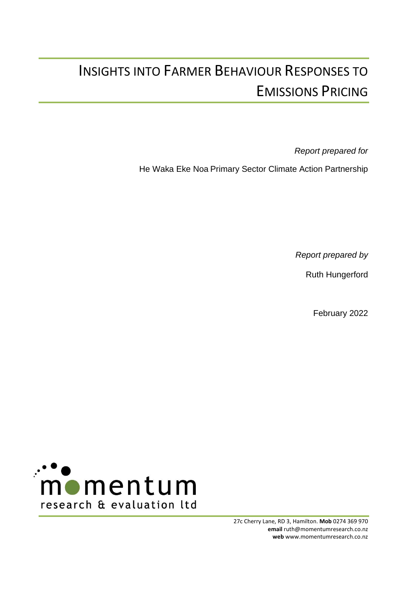# INSIGHTS INTO FARMER BEHAVIOUR RESPONSES TO EMISSIONS PRICING

*Report prepared for*

He Waka Eke Noa Primary Sector Climate Action Partnership

*Report prepared by*

Ruth Hungerford

February 2022



27c Cherry Lane, RD 3, Hamilton. **Mob** 0274 369 970 **email** ruth@momentumresearch.co.nz **web** www.momentumresearch.co.nz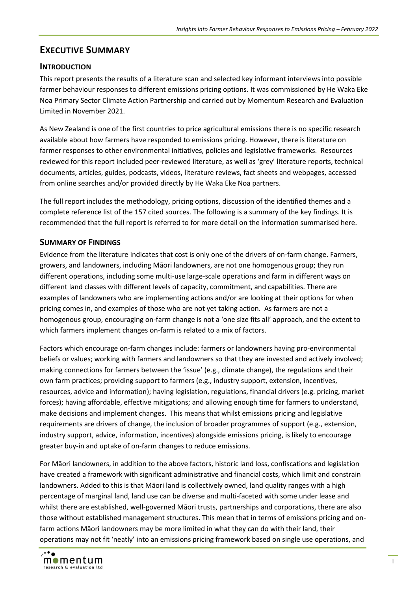# <span id="page-1-0"></span>**EXECUTIVE SUMMARY**

## **INTRODUCTION**

This report presents the results of a literature scan and selected key informant interviews into possible farmer behaviour responses to different emissions pricing options. It was commissioned by He Waka Eke Noa Primary Sector Climate Action Partnership and carried out by Momentum Research and Evaluation Limited in November 2021.

As New Zealand is one of the first countries to price agricultural emissions there is no specific research available about how farmers have responded to emissions pricing. However, there is literature on farmer responses to other environmental initiatives, policies and legislative frameworks. Resources reviewed for this report included peer-reviewed literature, as well as 'grey' literature reports, technical documents, articles, guides, podcasts, videos, literature reviews, fact sheets and webpages, accessed from online searches and/or provided directly by He Waka Eke Noa partners.

The full report includes the methodology, pricing options, discussion of the identified themes and a complete reference list of the 157 cited sources. The following is a summary of the key findings. It is recommended that the full report is referred to for more detail on the information summarised here.

# **SUMMARY OF FINDINGS**

Evidence from the literature indicates that cost is only one of the drivers of on-farm change. Farmers, growers, and landowners, including Māori landowners, are not one homogenous group; they run different operations, including some multi-use large-scale operations and farm in different ways on different land classes with different levels of capacity, commitment, and capabilities. There are examples of landowners who are implementing actions and/or are looking at their options for when pricing comes in, and examples of those who are not yet taking action. As farmers are not a homogenous group, encouraging on-farm change is not a 'one size fits all' approach, and the extent to which farmers implement changes on-farm is related to a mix of factors.

Factors which encourage on-farm changes include: farmers or landowners having pro-environmental beliefs or values; working with farmers and landowners so that they are invested and actively involved; making connections for farmers between the 'issue' (e.g., climate change), the regulations and their own farm practices; providing support to farmers (e.g., industry support, extension, incentives, resources, advice and information); having legislation, regulations, financial drivers (e.g. pricing, market forces); having affordable, effective mitigations; and allowing enough time for farmers to understand, make decisions and implement changes. This means that whilst emissions pricing and legislative requirements are drivers of change, the inclusion of broader programmes of support (e.g., extension, industry support, advice, information, incentives) alongside emissions pricing, is likely to encourage greater buy-in and uptake of on-farm changes to reduce emissions.

For Māori landowners, in addition to the above factors, historic land loss, confiscations and legislation have created a framework with significant administrative and financial costs, which limit and constrain landowners. Added to this is that Māori land is collectively owned, land quality ranges with a high percentage of marginal land, land use can be diverse and multi-faceted with some under lease and whilst there are established, well-governed Māori trusts, partnerships and corporations, there are also those without established management structures. This mean that in terms of emissions pricing and onfarm actions Māori landowners may be more limited in what they can do with their land, their operations may not fit 'neatly' into an emissions pricing framework based on single use operations, and

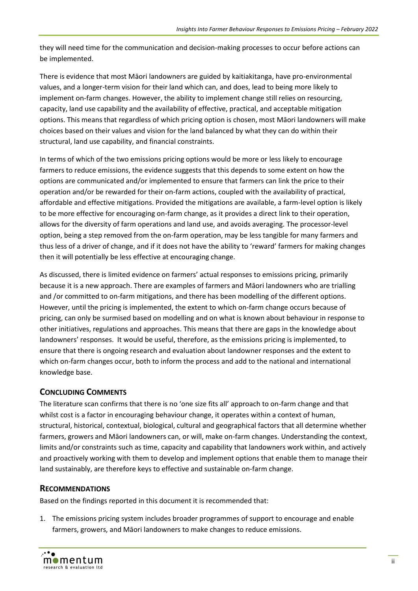they will need time for the communication and decision-making processes to occur before actions can be implemented.

There is evidence that most Māori landowners are guided by kaitiakitanga, have pro-environmental values, and a longer-term vision for their land which can, and does, lead to being more likely to implement on-farm changes. However, the ability to implement change still relies on resourcing, capacity, land use capability and the availability of effective, practical, and acceptable mitigation options. This means that regardless of which pricing option is chosen, most Māori landowners will make choices based on their values and vision for the land balanced by what they can do within their structural, land use capability, and financial constraints.

In terms of which of the two emissions pricing options would be more or less likely to encourage farmers to reduce emissions, the evidence suggests that this depends to some extent on how the options are communicated and/or implemented to ensure that farmers can link the price to their operation and/or be rewarded for their on-farm actions, coupled with the availability of practical, affordable and effective mitigations. Provided the mitigations are available, a farm-level option is likely to be more effective for encouraging on-farm change, as it provides a direct link to their operation, allows for the diversity of farm operations and land use, and avoids averaging. The processor-level option, being a step removed from the on-farm operation, may be less tangible for many farmers and thus less of a driver of change, and if it does not have the ability to 'reward' farmers for making changes then it will potentially be less effective at encouraging change.

As discussed, there is limited evidence on farmers' actual responses to emissions pricing, primarily because it is a new approach. There are examples of farmers and Māori landowners who are trialling and /or committed to on-farm mitigations, and there has been modelling of the different options. However, until the pricing is implemented, the extent to which on-farm change occurs because of pricing, can only be surmised based on modelling and on what is known about behaviour in response to other initiatives, regulations and approaches. This means that there are gaps in the knowledge about landowners' responses. It would be useful, therefore, as the emissions pricing is implemented, to ensure that there is ongoing research and evaluation about landowner responses and the extent to which on-farm changes occur, both to inform the process and add to the national and international knowledge base.

## **CONCLUDING COMMENTS**

The literature scan confirms that there is no 'one size fits all' approach to on-farm change and that whilst cost is a factor in encouraging behaviour change, it operates within a context of human, structural, historical, contextual, biological, cultural and geographical factors that all determine whether farmers, growers and Māori landowners can, or will, make on-farm changes. Understanding the context, limits and/or constraints such as time, capacity and capability that landowners work within, and actively and proactively working with them to develop and implement options that enable them to manage their land sustainably, are therefore keys to effective and sustainable on-farm change.

# **RECOMMENDATIONS**

Based on the findings reported in this document it is recommended that:

1. The emissions pricing system includes broader programmes of support to encourage and enable farmers, growers, and Māori landowners to make changes to reduce emissions.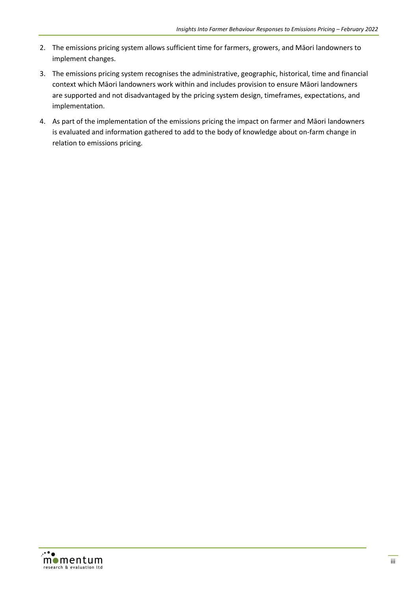- 2. The emissions pricing system allows sufficient time for farmers, growers, and Māori landowners to implement changes.
- 3. The emissions pricing system recognises the administrative, geographic, historical, time and financial context which Māori landowners work within and includes provision to ensure Māori landowners are supported and not disadvantaged by the pricing system design, timeframes, expectations, and implementation.
- 4. As part of the implementation of the emissions pricing the impact on farmer and Māori landowners is evaluated and information gathered to add to the body of knowledge about on-farm change in relation to emissions pricing.

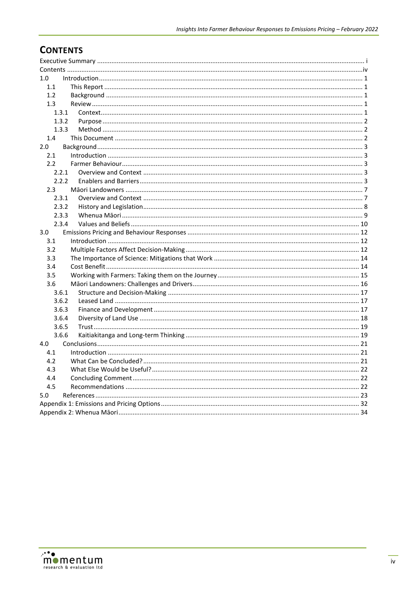# <span id="page-4-0"></span>**CONTENTS**

| 1.0           |  |
|---------------|--|
| 1.1           |  |
| 1.2           |  |
| 1.3           |  |
| 1.3.1         |  |
| 1.3.2         |  |
| 1.3.3         |  |
| 1.4           |  |
| 2.0           |  |
| 2.1           |  |
| $2.2^{\circ}$ |  |
| 2.2.1         |  |
| 2.2.2         |  |
| 2.3           |  |
| 2.3.1         |  |
| 2.3.2         |  |
| 2.3.3         |  |
| 2.3.4         |  |
| 3.0           |  |
| 3.1           |  |
| 3.2           |  |
| 3.3           |  |
| 3.4           |  |
| 3.5           |  |
| 3.6           |  |
| 3.6.1         |  |
| 3.6.2         |  |
| 3.6.3         |  |
| 3.6.4         |  |
| 3.6.5         |  |
| 3.6.6         |  |
| 4.0           |  |
| 4.1           |  |
| 4.2           |  |
| 4.3           |  |
| 4.4           |  |
| 4.5           |  |
| 5.0           |  |
|               |  |
|               |  |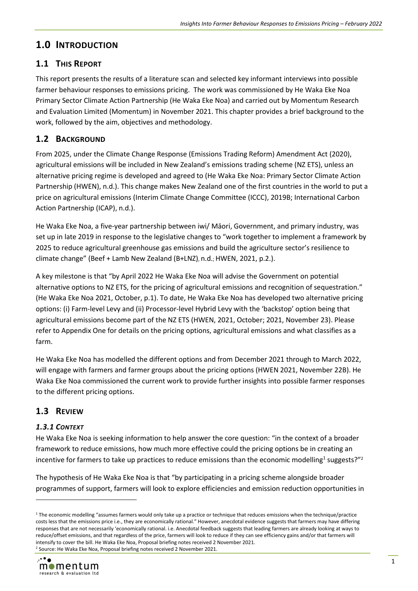# <span id="page-5-0"></span>**1.0 INTRODUCTION**

# <span id="page-5-1"></span>**1.1 THIS REPORT**

This report presents the results of a literature scan and selected key informant interviews into possible farmer behaviour responses to emissions pricing. The work was commissioned by He Waka Eke Noa Primary Sector Climate Action Partnership (He Waka Eke Noa) and carried out by Momentum Research and Evaluation Limited (Momentum) in November 2021. This chapter provides a brief background to the work, followed by the aim, objectives and methodology.

# <span id="page-5-2"></span>**1.2 BACKGROUND**

From 2025, under the Climate Change Response (Emissions Trading Reform) Amendment Act (2020), agricultural emissions will be included in New Zealand's emissions trading scheme (NZ ETS), unless an alternative pricing regime is developed and agreed to (He Waka Eke Noa: Primary Sector Climate Action Partnership (HWEN), n.d.). This change makes New Zealand one of the first countries in the world to put a price on agricultural emissions (Interim Climate Change Committee (ICCC), 2019B; International Carbon Action Partnership (ICAP), n.d.).

He Waka Eke Noa, a five-year partnership between iwi/ Māori, Government, and primary industry, was set up in late 2019 in response to the legislative changes to "work together to implement a framework by 2025 to reduce agricultural greenhouse gas emissions and build the agriculture sector's resilience to climate change" (Beef + Lamb New Zealand (B+LNZ), n.d.; HWEN, 2021, p.2.).

A key milestone is that "by April 2022 He Waka Eke Noa will advise the Government on potential alternative options to NZ ETS, for the pricing of agricultural emissions and recognition of sequestration." (He Waka Eke Noa 2021, October, p.1). To date, He Waka Eke Noa has developed two alternative pricing options: (i) Farm-level Levy and (ii) Processor-level Hybrid Levy with the 'backstop' option being that agricultural emissions become part of the NZ ETS (HWEN, 2021, October; 2021, November 23). Please refer to Appendix One for details on the pricing options, agricultural emissions and what classifies as a farm.

He Waka Eke Noa has modelled the different options and from December 2021 through to March 2022, will engage with farmers and farmer groups about the pricing options (HWEN 2021, November 22B). He Waka Eke Noa commissioned the current work to provide further insights into possible farmer responses to the different pricing options.

# <span id="page-5-3"></span>**1.3 REVIEW**

# <span id="page-5-4"></span>*1.3.1 CONTEXT*

He Waka Eke Noa is seeking information to help answer the core question: "in the context of a broader framework to reduce emissions, how much more effective could the pricing options be in creating an incentive for farmers to take up practices to reduce emissions than the economic modelling<sup>1</sup> suggests?"<sup>2</sup>

The hypothesis of He Waka Eke Noa is that "by participating in a pricing scheme alongside broader programmes of support, farmers will look to explore efficiencies and emission reduction opportunities in

<sup>&</sup>lt;sup>1</sup> The economic modelling "assumes farmers would only take up a practice or technique that reduces emissions when the technique/practice costs less that the emissions price i.e., they are economically rational." However, anecdotal evidence suggests that farmers may have differing responses that are not necessarily 'economically rational. i.e. Anecdotal feedback suggests that leading farmers are already looking at ways to reduce/offset emissions, and that regardless of the price, farmers will look to reduce if they can see efficiency gains and/or that farmers will intensify to cover the bill. He Waka Eke Noa, Proposal briefing notes received 2 November 2021. <sup>2</sup> Source: He Waka Eke Noa, Proposal briefing notes received 2 November 2021.

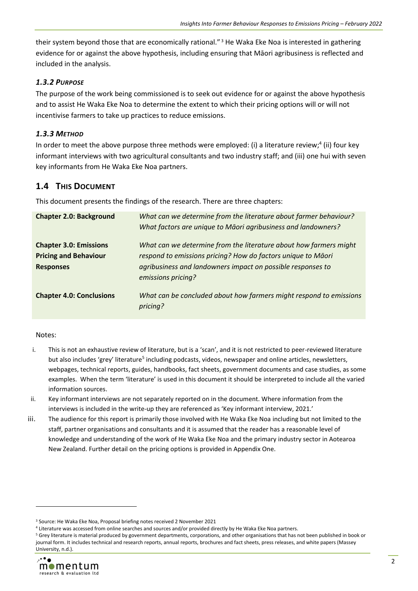their system beyond those that are economically rational."<sup>3</sup> He Waka Eke Noa is interested in gathering evidence for or against the above hypothesis, including ensuring that Māori agribusiness is reflected and included in the analysis.

#### <span id="page-6-0"></span>*1.3.2 PURPOSE*

The purpose of the work being commissioned is to seek out evidence for or against the above hypothesis and to assist He Waka Eke Noa to determine the extent to which their pricing options will or will not incentivise farmers to take up practices to reduce emissions.

## <span id="page-6-1"></span>*1.3.3 METHOD*

In order to meet the above purpose three methods were employed: (i) a literature review;<sup>4</sup> (ii) four key informant interviews with two agricultural consultants and two industry staff; and (iii) one hui with seven key informants from He Waka Eke Noa partners.

# <span id="page-6-2"></span>**1.4 THIS DOCUMENT**

This document presents the findings of the research. There are three chapters:

| <b>Chapter 2.0: Background</b>  | What can we determine from the literature about farmer behaviour?<br>What factors are unique to Māori agribusiness and landowners? |
|---------------------------------|------------------------------------------------------------------------------------------------------------------------------------|
| <b>Chapter 3.0: Emissions</b>   | What can we determine from the literature about how farmers might                                                                  |
| <b>Pricing and Behaviour</b>    | respond to emissions pricing? How do factors unique to Māori                                                                       |
| <b>Responses</b>                | agribusiness and landowners impact on possible responses to                                                                        |
|                                 | emissions pricing?                                                                                                                 |
| <b>Chapter 4.0: Conclusions</b> | What can be concluded about how farmers might respond to emissions<br>pricing?                                                     |

#### Notes:

- i. This is not an exhaustive review of literature, but is a 'scan', and it is not restricted to peer-reviewed literature but also includes 'grey' literature<sup>5</sup> including podcasts, videos, newspaper and online articles, newsletters, webpages, technical reports, guides, handbooks, fact sheets, government documents and case studies, as some examples. When the term 'literature' is used in this document it should be interpreted to include all the varied information sources.
- ii. Key informant interviews are not separately reported on in the document. Where information from the interviews is included in the write-up they are referenced as 'Key informant interview, 2021.'
- iii. The audience for this report is primarily those involved with He Waka Eke Noa including but not limited to the staff, partner organisations and consultants and it is assumed that the reader has a reasonable level of knowledge and understanding of the work of He Waka Eke Noa and the primary industry sector in Aotearoa New Zealand. Further detail on the pricing options is provided in Appendix One.

<sup>&</sup>lt;sup>5</sup> Grey literature is material produced by government departments, corporations, and other organisations that has not been published in book or journal form. It includes technical and research reports, annual reports, brochures and fact sheets, press releases, and white papers (Massey University, n.d.).



<sup>3</sup> Source: He Waka Eke Noa, Proposal briefing notes received 2 November 2021

<sup>4</sup> Literature was accessed from online searches and sources and/or provided directly by He Waka Eke Noa partners.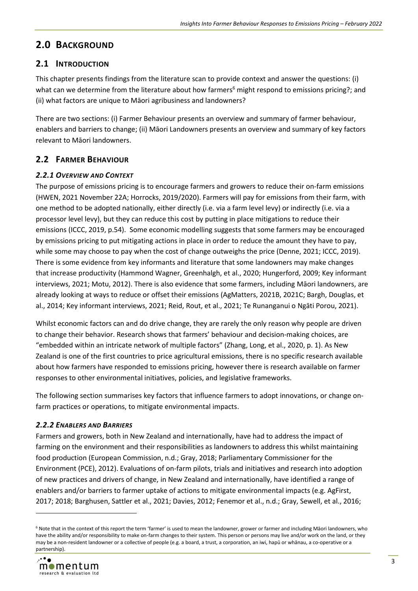# <span id="page-7-0"></span>**2.0 BACKGROUND**

# <span id="page-7-1"></span>**2.1 INTRODUCTION**

This chapter presents findings from the literature scan to provide context and answer the questions: (i) what can we determine from the literature about how farmers<sup>6</sup> might respond to emissions pricing?; and (ii) what factors are unique to Māori agribusiness and landowners?

There are two sections: (i) Farmer Behaviour presents an overview and summary of farmer behaviour, enablers and barriers to change; (ii) Māori Landowners presents an overview and summary of key factors relevant to Māori landowners.

# <span id="page-7-2"></span>**2.2 FARMER BEHAVIOUR**

#### <span id="page-7-3"></span>*2.2.1 OVERVIEW AND CONTEXT*

The purpose of emissions pricing is to encourage farmers and growers to reduce their on-farm emissions (HWEN, 2021 November 22A; Horrocks, 2019/2020). Farmers will pay for emissions from their farm, with one method to be adopted nationally, either directly (i.e. via a farm level levy) or indirectly (i.e. via a processor level levy), but they can reduce this cost by putting in place mitigations to reduce their emissions (ICCC, 2019, p.54). Some economic modelling suggests that some farmers may be encouraged by emissions pricing to put mitigating actions in place in order to reduce the amount they have to pay, while some may choose to pay when the cost of change outweighs the price (Denne, 2021; ICCC, 2019). There is some evidence from key informants and literature that some landowners may make changes that increase productivity (Hammond Wagner, Greenhalgh, et al., 2020; Hungerford, 2009; Key informant interviews, 2021; Motu, 2012). There is also evidence that some farmers, including Māori landowners, are already looking at ways to reduce or offset their emissions (AgMatters, 2021B, 2021C; Bargh, Douglas, et al., 2014; Key informant interviews, 2021; Reid, Rout, et al., 2021; Te Runanganui o Ngāti Porou, 2021).

Whilst economic factors can and do drive change, they are rarely the only reason why people are driven to change their behavior. Research shows that farmers' behaviour and decision-making choices, are "embedded within an intricate network of multiple factors" (Zhang, Long, et al., 2020, p. 1). As New Zealand is one of the first countries to price agricultural emissions, there is no specific research available about how farmers have responded to emissions pricing, however there is research available on farmer responses to other environmental initiatives, policies, and legislative frameworks.

The following section summarises key factors that influence farmers to adopt innovations, or change onfarm practices or operations, to mitigate environmental impacts.

## <span id="page-7-4"></span>*2.2.2 ENABLERS AND BARRIERS*

Farmers and growers, both in New Zealand and internationally, have had to address the impact of farming on the environment and their responsibilities as landowners to address this whilst maintaining food production (European Commission, n.d.; Gray, 2018; Parliamentary Commissioner for the Environment (PCE), 2012). Evaluations of on-farm pilots, trials and initiatives and research into adoption of new practices and drivers of change, in New Zealand and internationally, have identified a range of enablers and/or barriers to farmer uptake of actions to mitigate environmental impacts (e.g. AgFirst, 2017; 2018; Barghusen, Sattler et al., 2021; Davies, 2012; Fenemor et al., n.d.; Gray, Sewell, et al., 2016;

<sup>6</sup> Note that in the context of this report the term 'farmer' is used to mean the landowner, grower or farmer and including Māori landowners, who have the ability and/or responsibility to make on-farm changes to their system. This person or persons may live and/or work on the land, or they may be a non-resident landowner or a collective of people (e.g. a board, a trust, a corporation, an iwi, hapū or whānau, a co-operative or a partnership).

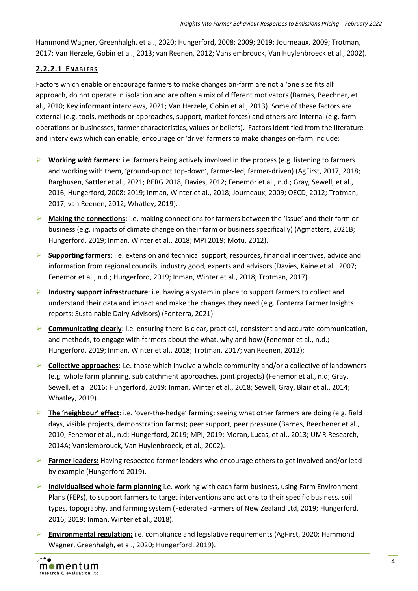Hammond Wagner, Greenhalgh, et al., 2020; Hungerford, 2008; 2009; 2019; Journeaux, 2009; Trotman, 2017; Van Herzele, Gobin et al., 2013; van Reenen, 2012; Vanslembrouck, Van Huylenbroeck et al., 2002).

## **2.2.2.1 ENABLERS**

Factors which enable or encourage farmers to make changes on-farm are not a 'one size fits all' approach, do not operate in isolation and are often a mix of different motivators (Barnes, Beechner, et al., 2010; Key informant interviews, 2021; Van Herzele, Gobin et al., 2013). Some of these factors are external (e.g. tools, methods or approaches, support, market forces) and others are internal (e.g. farm operations or businesses, farmer characteristics, values or beliefs). Factors identified from the literature and interviews which can enable, encourage or 'drive' farmers to make changes on-farm include:

- ➢ **Working** *with* **farmers**: i.e. farmers being actively involved in the process (e.g. listening to farmers and working with them, 'ground-up not top-down', farmer-led, farmer-driven) (AgFirst, 2017; 2018; Barghusen, Sattler et al., 2021; BERG 2018; Davies, 2012; Fenemor et al., n.d.; Gray, Sewell, et al., 2016; Hungerford, 2008; 2019; Inman, Winter et al., 2018; Journeaux, 2009; OECD, 2012; Trotman, 2017; van Reenen, 2012; Whatley, 2019).
- ➢ **Making the connections**: i.e. making connections for farmers between the 'issue' and their farm or business (e.g. impacts of climate change on their farm or business specifically) (Agmatters, 2021B; Hungerford, 2019; Inman, Winter et al., 2018; MPI 2019; Motu, 2012).
- ➢ **Supporting farmers**: i.e. extension and technical support, resources, financial incentives, advice and information from regional councils, industry good, experts and advisors (Davies, Kaine et al., 2007; Fenemor et al., n.d.; Hungerford, 2019; Inman, Winter et al., 2018; Trotman, 2017).
- ➢ **Industry support infrastructure**: i.e. having a system in place to support farmers to collect and understand their data and impact and make the changes they need (e.g. Fonterra Farmer Insights reports; Sustainable Dairy Advisors) (Fonterra, 2021).
- ➢ **Communicating clearly**: i.e. ensuring there is clear, practical, consistent and accurate communication, and methods, to engage with farmers about the what, why and how (Fenemor et al., n.d.; Hungerford, 2019; Inman, Winter et al., 2018; Trotman, 2017; van Reenen, 2012);
- ➢ **Collective approaches**: i.e. those which involve a whole community and/or a collective of landowners (e.g. whole farm planning, sub catchment approaches, joint projects) (Fenemor et al., n.d; Gray, Sewell, et al. 2016; Hungerford, 2019; Inman, Winter et al., 2018; Sewell, Gray, Blair et al., 2014; Whatley, 2019).
- ➢ **The 'neighbour' effect**: i.e. 'over-the-hedge' farming; seeing what other farmers are doing (e.g. field days, visible projects, demonstration farms); peer support, peer pressure (Barnes, Beechener et al., 2010; Fenemor et al., n.d; Hungerford, 2019; MPI, 2019; Moran, Lucas, et al., 2013; UMR Research, 2014A; Vanslembrouck, Van Huylenbroeck, et al., 2002).
- ➢ **Farmer leaders:** Having respected farmer leaders who encourage others to get involved and/or lead by example (Hungerford 2019).
- ➢ **Individualised whole farm planning** i.e. working with each farm business, using Farm Environment Plans (FEPs), to support farmers to target interventions and actions to their specific business, soil types, topography, and farming system (Federated Farmers of New Zealand Ltd, 2019; Hungerford, 2016; 2019; Inman, Winter et al., 2018).
- ➢ **Environmental regulation:** i.e. compliance and legislative requirements (AgFirst, 2020; Hammond Wagner, Greenhalgh, et al., 2020; Hungerford, 2019).

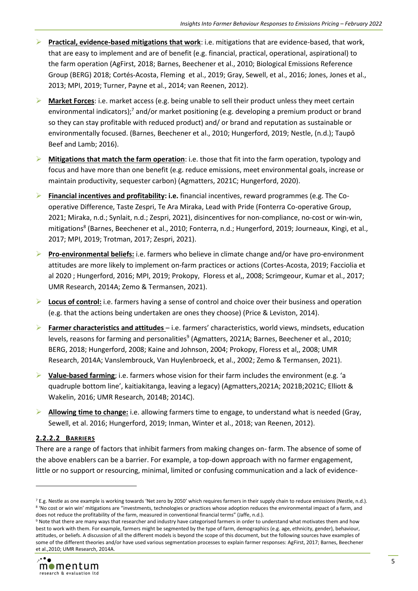- ➢ **Practical, evidence-based mitigations that work**: i.e. mitigations that are evidence-based, that work, that are easy to implement and are of benefit (e.g. financial, practical, operational, aspirational) to the farm operation (AgFirst, 2018; Barnes, Beechener et al., 2010; Biological Emissions Reference Group (BERG) 2018; Cortés-Acosta, Fleming et al., 2019; Gray, Sewell, et al., 2016; Jones, Jones et al., 2013; MPI, 2019; Turner, Payne et al., 2014; van Reenen, 2012).
- ➢ **Market Forces**: i.e. market access (e.g. being unable to sell their product unless they meet certain environmental indicators);<sup>7</sup> and/or market positioning (e.g. developing a premium product or brand so they can stay profitable with reduced product) and/ or brand and reputation as sustainable or environmentally focused. (Barnes, Beechener et al., 2010; Hungerford, 2019; Nestle, (n.d.); Taupō Beef and Lamb; 2016).
- ➢ **Mitigations that match the farm operation**: i.e. those that fit into the farm operation, typology and focus and have more than one benefit (e.g. reduce emissions, meet environmental goals, increase or maintain productivity, sequester carbon) (Agmatters, 2021C; Hungerford, 2020).
- ➢ **Financial incentives and profitability: i.e.** financial incentives, reward programmes (e.g. The Cooperative Difference, Taste Zespri, Te Ara Miraka, Lead with Pride (Fonterra Co-operative Group, 2021; Miraka, n.d.; Synlait, n.d.; Zespri, 2021), disincentives for non-compliance, no-cost or win-win, mitigations<sup>8</sup> (Barnes, Beechener et al., 2010; Fonterra, n.d.; Hungerford, 2019; Journeaux, Kingi, et al., 2017; MPI, 2019; Trotman, 2017; Zespri, 2021).
- ➢ **Pro-environmental beliefs:** i.e. farmers who believe in climate change and/or have pro-environment attitudes are more likely to implement on-farm practices or actions (Cortes-Acosta, 2019; Facciolia et al 2020 ; Hungerford, 2016; MPI, 2019; Prokopy, Floress et al,, 2008; Scrimgeour, Kumar et al., 2017; UMR Research, 2014A; Zemo & Termansen, 2021).
- ➢ **Locus of control:** i.e. farmers having a sense of control and choice over their business and operation (e.g. that the actions being undertaken are ones they choose) (Price & Leviston, 2014).
- ➢ **Farmer characteristics and attitudes**  i.e. farmers' characteristics, world views, mindsets, education levels, reasons for farming and personalities<sup>9</sup> (Agmatters, 2021A; Barnes, Beechener et al., 2010; BERG, 2018; Hungerford, 2008; Kaine and Johnson, 2004; Prokopy, Floress et al,, 2008; UMR Research, 2014A; Vanslembrouck, Van Huylenbroeck, et al., 2002; Zemo & Termansen, 2021).
- ➢ **Value-based farming**; i.e. farmers whose vision for their farm includes the environment (e.g. 'a quadruple bottom line', kaitiakitanga, leaving a legacy) (Agmatters,2021A; 2021B;2021C; Elliott & Wakelin, 2016; UMR Research, 2014B; 2014C).
- ➢ **Allowing time to change:** i.e. allowing farmers time to engage, to understand what is needed (Gray, Sewell, et al. 2016; Hungerford, 2019; Inman, Winter et al., 2018; van Reenen, 2012).

## **2.2.2.2 BARRIERS**

There are a range of factors that inhibit farmers from making changes on- farm. The absence of some of the above enablers can be a barrier. For example, a top-down approach with no farmer engagement, little or no support or resourcing, minimal, limited or confusing communication and a lack of evidence-

<sup>&</sup>lt;sup>9</sup> Note that there are many ways that researcher and industry have categorised farmers in order to understand what motivates them and how best to work with them. For example, farmers might be segmented by the type of farm, demographics (e.g. age, ethnicity, gender), behaviour, attitudes, or beliefs. A discussion of all the different models is beyond the scope of this document, but the following sources have examples of some of the different theories and/or have used various segmentation processes to explain farmer responses: AgFirst, 2017; Barnes, Beechener et al.,2010; UMR Research, 2014A.



<sup>7</sup> E.g. Nestle as one example is working towards 'Net zero by 2050' which requires farmers in their supply chain to reduce emissions (Nestle, n.d.). <sup>8</sup> 'No cost or win win' mitigations are "investments, technologies or practices whose adoption reduces the environmental impact of a farm, and does not reduce the profitability of the farm, measured in conventional financial terms" (Jaffe, n.d.).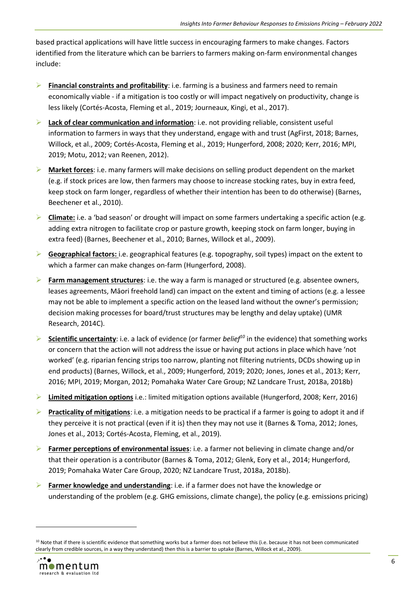based practical applications will have little success in encouraging farmers to make changes. Factors identified from the literature which can be barriers to farmers making on-farm environmental changes include:

- ➢ **Financial constraints and profitability**: i.e. farming is a business and farmers need to remain economically viable - if a mitigation is too costly or will impact negatively on productivity, change is less likely (Cortés-Acosta, Fleming et al., 2019; Journeaux, Kingi, et al., 2017).
- ➢ **Lack of clear communication and information**: i.e. not providing reliable, consistent useful information to farmers in ways that they understand, engage with and trust (AgFirst, 2018; Barnes, Willock, et al., 2009; Cortés-Acosta, Fleming et al., 2019; Hungerford, 2008; 2020; Kerr, 2016; MPI, 2019; Motu, 2012; van Reenen, 2012).
- ➢ **Market forces**: i.e. many farmers will make decisions on selling product dependent on the market (e.g. if stock prices are low, then farmers may choose to increase stocking rates, buy in extra feed, keep stock on farm longer, regardless of whether their intention has been to do otherwise) (Barnes, Beechener et al., 2010).
- ➢ **Climate:** i.e. a 'bad season' or drought will impact on some farmers undertaking a specific action (e.g. adding extra nitrogen to facilitate crop or pasture growth, keeping stock on farm longer, buying in extra feed) (Barnes, Beechener et al., 2010; Barnes, Willock et al., 2009).
- ➢ **Geographical factors:** i.e. geographical features (e.g. topography, soil types) impact on the extent to which a farmer can make changes on-farm (Hungerford, 2008).
- ➢ **Farm management structures**: i.e. the way a farm is managed or structured (e.g. absentee owners, leases agreements, Māori freehold land) can impact on the extent and timing of actions (e.g. a lessee may not be able to implement a specific action on the leased land without the owner's permission; decision making processes for board/trust structures may be lengthy and delay uptake) (UMR Research, 2014C).
- ➢ **Scientific uncertainty**: i.e. a lack of evidence (or farmer *belief<sup>10</sup>* in the evidence) that something works or concern that the action will not address the issue or having put actions in place which have 'not worked' (e.g. riparian fencing strips too narrow, planting not filtering nutrients, DCDs showing up in end products) (Barnes, Willock, et al., 2009; Hungerford, 2019; 2020; Jones, Jones et al., 2013; Kerr, 2016; MPI, 2019; Morgan, 2012; Pomahaka Water Care Group; NZ Landcare Trust, 2018a, 2018b)
- ➢ **Limited mitigation options** i.e.: limited mitigation options available (Hungerford, 2008; Kerr, 2016)
- ➢ **Practicality of mitigations**: i.e. a mitigation needs to be practical if a farmer is going to adopt it and if they perceive it is not practical (even if it is) then they may not use it (Barnes & Toma, 2012; Jones, Jones et al., 2013; Cortés-Acosta, Fleming, et al., 2019).
- ➢ **Farmer perceptions of environmental issues**: i.e. a farmer not believing in climate change and/or that their operation is a contributor (Barnes & Toma, 2012; Glenk, Eory et al., 2014; Hungerford, 2019; Pomahaka Water Care Group, 2020; NZ Landcare Trust, 2018a, 2018b).
- ➢ **Farmer knowledge and understanding**: i.e. if a farmer does not have the knowledge or understanding of the problem (e.g. GHG emissions, climate change), the policy (e.g. emissions pricing)

<sup>&</sup>lt;sup>10</sup> Note that if there is scientific evidence that something works but a farmer does not believe this (i.e. because it has not been communicated clearly from credible sources, in a way they understand) then this is a barrier to uptake (Barnes, Willock et al., 2009).

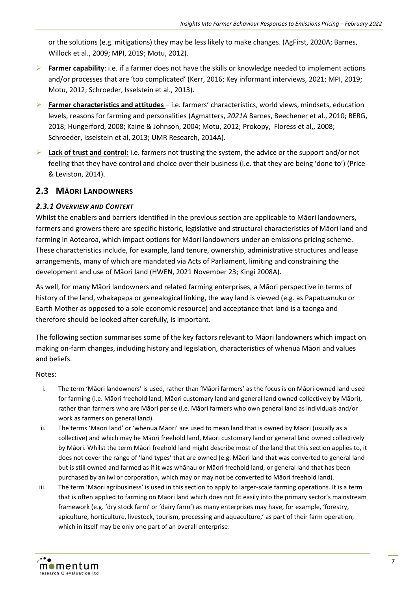or the solutions (e.g. mitigations) they may be less likely to make changes. (AgFirst, 2020A; Barnes, Willock et al., 2009; MPI, 2019; Motu, 2012).

- ➢ **Farmer capability**: i.e. if a farmer does not have the skills or knowledge needed to implement actions and/or processes that are 'too complicated' (Kerr, 2016; Key informant interviews, 2021; MPI, 2019; Motu, 2012; Schroeder, Isselstein et al., 2013).
- ➢ **Farmer characteristics and attitudes**  i.e. farmers' characteristics, world views, mindsets, education levels, reasons for farming and personalities (Agmatters, *2021A* Barnes, Beechener et al., 2010; BERG, 2018; Hungerford, 2008; Kaine & Johnson, 2004; Motu, 2012; Prokopy, Floress et al,, 2008; Schroeder, Isselstein et al, 2013; UMR Research, 2014A).
- ➢ **Lack of trust and control:** i.e. farmers not trusting the system, the advice or the support and/or not feeling that they have control and choice over their business (i.e. that they are being 'done to') (Price & Leviston, 2014).

## <span id="page-11-0"></span>**2.3 MĀORI LANDOWNERS**

#### <span id="page-11-1"></span>*2.3.1 OVERVIEW AND CONTEXT*

Whilst the enablers and barriers identified in the previous section are applicable to Māori landowners, farmers and growers there are specific historic, legislative and structural characteristics of Māori land and farming in Aotearoa, which impact options for Māori landowners under an emissions pricing scheme. These characteristics include, for example, land tenure, ownership, administrative structures and lease arrangements, many of which are mandated via Acts of Parliament, limiting and constraining the development and use of Māori land (HWEN, 2021 November 23; Kingi 2008A).

As well, for many Māori landowners and related farming enterprises, a Māori perspective in terms of history of the land, whakapapa or genealogical linking, the way land is viewed (e.g. as Papatuanuku or Earth Mother as opposed to a sole economic resource) and acceptance that land is a taonga and therefore should be looked after carefully, is important.

The following section summarises some of the key factors relevant to Māori landowners which impact on making on-farm changes, including history and legislation, characteristics of whenua Māori and values and beliefs.

#### Notes:

- i. The term 'Māori landowners' is used, rather than 'Māori farmers' as the focus is on Māori-owned land used for farming (i.e. Māori freehold land, Māori customary land and general land owned collectively by Māori), rather than farmers who are Māori per se (i.e. Māori farmers who own general land as individuals and/or work as farmers on general land).
- ii. The terms 'Māori land' or 'whenua Māori' are used to mean land that is owned by Māori (usually as a collective) and which may be Māori freehold land, Māori customary land or general land owned collectively by Māori. Whilst the term Māori freehold land might describe most of the land that this section applies to, it does not cover the range of 'land types' that are owned (e.g. Māori land that was converted to general land but is still owned and farmed as if it was whānau or Māori freehold land, or general land that has been purchased by an iwi or corporation, which may or may not be converted to Māori freehold land).
- iii. The term 'Māori agribusiness' is used in this section to apply to larger-scale farming operations. It is a term that is often applied to farming on Māori land which does not fit easily into the primary sector's mainstream framework (e.g. 'dry stock farm' or 'dairy farm') as many enterprises may have, for example, 'forestry, apiculture, horticulture, livestock, tourism, processing and aquaculture,' as part of their farm operation, which in itself may be only one part of an overall enterprise.

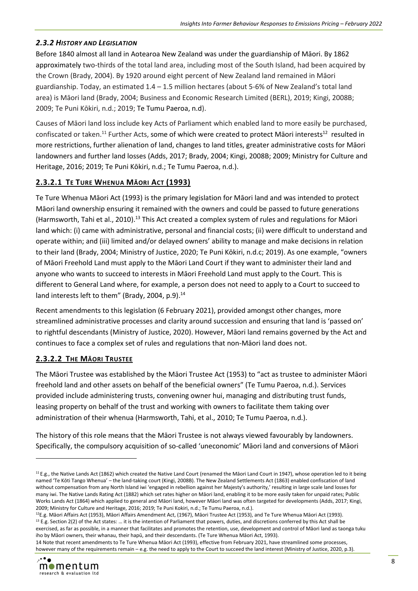#### <span id="page-12-0"></span>*2.3.2 HISTORY AND LEGISLATION*

Before 1840 almost all land in Aotearoa New Zealand was under the guardianship of Māori. By 1862 approximately two-thirds of the total land area, including most of the South Island, had been acquired by the Crown (Brady, 2004). By 1920 around eight percent of New Zealand land remained in Māori guardianship. Today, an estimated 1.4 – 1.5 million hectares (about 5-6% of New Zealand's total land area) is Māori land (Brady, 2004; Business and Economic Research Limited (BERL), 2019; Kingi, 2008B; 2009; Te Puni Kōkiri, n.d.; 2019; Te Tumu Paeroa, n.d).

Causes of Māori land loss include key Acts of Parliament which enabled land to more easily be purchased, confiscated or taken.<sup>11</sup> Further Acts, some of which were created to protect Māori interests<sup>12</sup> resulted in more restrictions, further alienation of land, changes to land titles, greater administrative costs for Māori landowners and further land losses (Adds, 2017; Brady, 2004; Kingi, 2008B; 2009; Ministry for Culture and Heritage, 2016; 2019; Te Puni Kōkiri, n.d.; Te Tumu Paeroa, n.d.).

## **2.3.2.1 TE TURE WHENUA MĀORI ACT (1993)**

Te Ture Whenua Māori Act (1993) is the primary legislation for Māori land and was intended to protect Māori land ownership ensuring it remained with the owners and could be passed to future generations (Harmsworth, Tahi et al., 2010).<sup>13</sup> This Act created a complex system of rules and regulations for Māori land which: (i) came with administrative, personal and financial costs; (ii) were difficult to understand and operate within; and (iii) limited and/or delayed owners' ability to manage and make decisions in relation to their land (Brady, 2004; Ministry of Justice, 2020; Te Puni Kōkiri, n.d.c; 2019). As one example, "owners of Māori Freehold Land must apply to the Māori Land Court if they want to administer their land and anyone who wants to succeed to interests in Māori Freehold Land must apply to the Court. This is different to General Land where, for example, a person does not need to apply to a Court to succeed to land interests left to them" (Brady, 2004, p.9).<sup>14</sup>

Recent amendments to this legislation (6 February 2021), provided amongst other changes, more streamlined administrative processes and clarity around succession and ensuring that land is 'passed on' to rightful descendants (Ministry of Justice, 2020). However, Māori land remains governed by the Act and continues to face a complex set of rules and regulations that non-Māori land does not.

## **2.3.2.2 THE MĀORI TRUSTEE**

The Māori Trustee was established by the Māori Trustee Act (1953) to "act as trustee to administer Māori freehold land and other assets on behalf of the beneficial owners" (Te Tumu Paeroa, n.d.). Services provided include administering trusts, convening owner hui, managing and distributing trust funds, leasing property on behalf of the trust and working with owners to facilitate them taking over administration of their whenua (Harmsworth, Tahi, et al., 2010; Te Tumu Paeroa, n.d.).

The history of this role means that the Māori Trustee is not always viewed favourably by landowners. Specifically, the compulsory acquisition of so-called 'uneconomic' Māori land and conversions of Māori

<sup>14</sup> Note that recent amendments to Te Ture Whenua Māori Act (1993), effective from February 2021, have streamlined some processes, however many of the requirements remain - e.g. the need to apply to the Court to succeed the land interest (Ministry of Justice, 2020, p.3).



<sup>&</sup>lt;sup>11</sup> E.g., the Native Lands Act (1862) which created the Native Land Court (renamed the Māori Land Court in 1947), whose operation led to it being named 'Te Kōti Tango Whenua' – the land-taking court (Kingi, 2008B). The New Zealand Settlements Act (1863) enabled confiscation of land without compensation from any North Island iwi 'engaged in rebellion against her Majesty's authority,' resulting in large scale land losses for many iwi. The Native Lands Rating Act (1882) which set rates higher on Māori land, enabling it to be more easily taken for unpaid rates; Public Works Lands Act (1864) which applied to general and Māori land, however Māori land was often targeted for developments (Adds, 2017; Kingi, 2009; Ministry for Culture and Heritage, 2016; 2019; Te Puni Kokiri, n.d.; Te Tumu Paeroa, n.d.).

<sup>&</sup>lt;sup>12</sup>E.g. Māori Affairs Act (1953), Māori Affairs Amendment Act, (1967), Māori Trustee Act (1953), and Te Ture Whenua Māori Act (1993). <sup>13</sup> E.g. Section 2(2) of the Act states: ... it is the intention of Parliament that powers, duties, and discretions conferred by this Act shall be exercised, as far as possible, in a manner that facilitates and promotes the retention, use, development and control of Māori land as taonga tuku iho by Māori owners, their whanau, their hapū, and their descendants. (Te Ture Whenua Māori Act, 1993).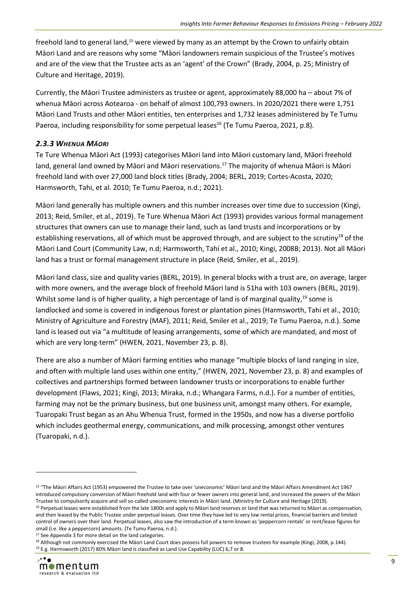freehold land to general land,<sup>15</sup> were viewed by many as an attempt by the Crown to unfairly obtain Māori Land and are reasons why some "Māori landowners remain suspicious of the Trustee's motives and are of the view that the Trustee acts as an 'agent' of the Crown" (Brady, 2004, p. 25; Ministry of Culture and Heritage, 2019).

Currently, the Māori Trustee administers as trustee or agent, approximately 88,000 ha – about 7% of whenua Māori across Aotearoa - on behalf of almost 100,793 owners. In 2020/2021 there were 1,751 Māori Land Trusts and other Māori entities, ten enterprises and 1,732 leases administered by Te Tumu Paeroa, including responsibility for some perpetual leases<sup>16</sup> (Te Tumu Paeroa, 2021, p.8).

#### <span id="page-13-0"></span>*2.3.3 WHENUA MĀORI*

Te Ture Whenua Māori Act (1993) categorises Māori land into Māori customary land, Māori freehold land, general land owned by Māori and Māori reservations.<sup>17</sup> The majority of whenua Māori is Māori freehold land with over 27,000 land block titles (Brady, 2004; BERL, 2019; Cortes-Acosta, 2020; Harmsworth, Tahi, et al. 2010; Te Tumu Paeroa, n.d.; 2021).

Māori land generally has multiple owners and this number increases over time due to succession (Kingi, 2013; Reid, Smiler, et al., 2019). Te Ture Whenua Māori Act (1993) provides various formal management structures that owners can use to manage their land, such as land trusts and incorporations or by establishing reservations, all of which must be approved through, and are subject to the scrutiny<sup>18</sup> of the Māori Land Court (Community Law, n.d; Harmsworth, Tahi et al., 2010; Kingi, 2008B; 2013). Not all Māori land has a trust or formal management structure in place (Reid, Smiler, et al., 2019).

Māori land class, size and quality varies (BERL, 2019). In general blocks with a trust are, on average, larger with more owners, and the average block of freehold Māori land is 51ha with 103 owners (BERL, 2019). Whilst some land is of higher quality, a high percentage of land is of marginal quality,<sup>19</sup> some is landlocked and some is covered in indigenous forest or plantation pines (Harmsworth, Tahi et al., 2010; Ministry of Agriculture and Forestry (MAF), 2011; Reid, Smiler et al., 2019; Te Tumu Paeroa, n.d.). Some land is leased out via "a multitude of leasing arrangements, some of which are mandated, and most of which are very long-term" (HWEN, 2021, November 23, p. 8).

There are also a number of Māori farming entities who manage "multiple blocks of land ranging in size, and often with multiple land uses within one entity," (HWEN, 2021, November 23, p. 8) and examples of collectives and partnerships formed between landowner trusts or incorporations to enable further development (Flaws, 2021; Kingi, 2013; Miraka, n.d.; Whangara Farms, n.d.). For a number of entities, farming may not be the primary business, but one business unit, amongst many others. For example, Tuaropaki Trust began as an Ahu Whenua Trust, formed in the 1950s, and now has a diverse portfolio which includes geothermal energy, communications, and milk processing, amongst other ventures (Tuaropaki, n.d.).

<sup>18</sup> Although not commonly exercised the Māori Land Court does possess full powers to remove trustees for example (Kingi, 2008, p.144). <sup>19</sup> E.g. Harmsworth (2017) 80% Māori land is classified as Land Use Capability (LUC) 6,7 or 8.



<sup>&</sup>lt;sup>15</sup> "The Māori Affairs Act (1953) empowered the Trustee to take over 'uneconomic' Māori land and the Māori Affairs Amendment Act 1967 introduced compulsory conversion of Māori freehold land with four or fewer owners into general land, and increased the powers of the Māori Trustee to compulsorily acquire and sell so-called uneconomic interests in Māori land. (Ministry for Culture and Heritage (2019).

<sup>&</sup>lt;sup>16</sup> Perpetual leases were established from the late 1800s and apply to Māori land reserves or land that was returned to Māori as compensation, and then leased by the Public Trustee under perpetual leases. Over time they have led to very low rental prices, financial barriers and limited control of owners over their land. Perpetual leases, also saw the introduction of a term known as 'peppercorn rentals' or rent/lease figures for small (i.e. like a peppercorn) amounts. (Te Tumu Paeroa, n.d.).

<sup>&</sup>lt;sup>17</sup> See Appendix 3 for more detail on the land categories.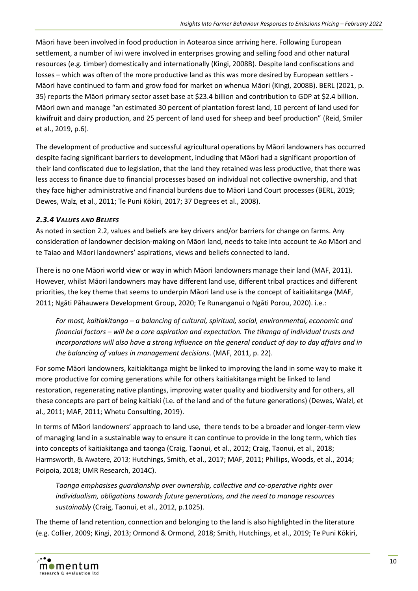Māori have been involved in food production in Aotearoa since arriving here. Following European settlement, a number of iwi were involved in enterprises growing and selling food and other natural resources (e.g. timber) domestically and internationally (Kingi, 2008B). Despite land confiscations and losses – which was often of the more productive land as this was more desired by European settlers - Māori have continued to farm and grow food for market on whenua Māori (Kingi, 2008B). BERL (2021, p. 35) reports the Māori primary sector asset base at \$23.4 billion and contribution to GDP at \$2.4 billion. Māori own and manage "an estimated 30 percent of plantation forest land, 10 percent of land used for kiwifruit and dairy production, and 25 percent of land used for sheep and beef production" (Reid, Smiler et al., 2019, p.6).

The development of productive and successful agricultural operations by Māori landowners has occurred despite facing significant barriers to development, including that Māori had a significant proportion of their land confiscated due to legislation, that the land they retained was less productive, that there was less access to finance due to financial processes based on individual not collective ownership, and that they face higher administrative and financial burdens due to Māori Land Court processes (BERL, 2019; Dewes, Walz, et al., 2011; Te Puni Kōkiri, 2017; 37 Degrees et al., 2008).

## <span id="page-14-0"></span>*2.3.4 VALUES AND BELIEFS*

As noted in section 2.2, values and beliefs are key drivers and/or barriers for change on farms. Any consideration of landowner decision-making on Māori land, needs to take into account te Ao Māori and te Taiao and Māori landowners' aspirations, views and beliefs connected to land.

There is no one Māori world view or way in which Māori landowners manage their land (MAF, 2011). However, whilst Māori landowners may have different land use, different tribal practices and different priorities, the key theme that seems to underpin Māori land use is the concept of kaitiakitanga (MAF, 2011; Ngāti Pāhauwera Development Group, 2020; Te Runanganui o Ngāti Porou, 2020). i.e.:

*For most, kaitiakitanga – a balancing of cultural, spiritual, social, environmental, economic and financial factors – will be a core aspiration and expectation. The tikanga of individual trusts and incorporations will also have a strong influence on the general conduct of day to day affairs and in the balancing of values in management decisions*. (MAF, 2011, p. 22).

For some Māori landowners, kaitiakitanga might be linked to improving the land in some way to make it more productive for coming generations while for others kaitiakitanga might be linked to land restoration, regenerating native plantings, improving water quality and biodiversity and for others, all these concepts are part of being kaitiaki (i.e. of the land and of the future generations) (Dewes, Walzl, et al., 2011; MAF, 2011; Whetu Consulting, 2019).

In terms of Māori landowners' approach to land use, there tends to be a broader and longer-term view of managing land in a sustainable way to ensure it can continue to provide in the long term, which ties into concepts of kaitiakitanga and taonga (Craig, Taonui, et al., 2012; Craig, Taonui, et al., 2018; Harmsworth, & Awatere, 2013; Hutchings, Smith, et al., 2017; MAF, 2011; Phillips, Woods, et al., 2014; Poipoia, 2018; UMR Research, 2014C).

*Taonga emphasises guardianship over ownership, collective and co-operative rights over individualism, obligations towards future generations, and the need to manage resources sustainably* (Craig, Taonui, et al., 2012, p.1025).

The theme of land retention, connection and belonging to the land is also highlighted in the literature (e.g. Collier, 2009; Kingi, 2013; Ormond & Ormond, 2018; Smith, Hutchings, et al., 2019; Te Puni Kōkiri,

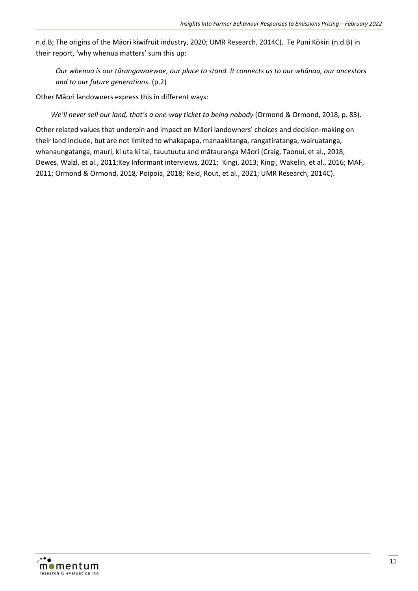n.d.B; The origins of the Māori kiwifruit industry, 2020; UMR Research, 2014C). Te Puni Kōkiri (n.d.B) in their report, 'why whenua matters' sum this up:

*Our whenua is our tūrangawaewae, our place to stand. It connects us to our whānau, our ancestors and to our future generations.* (p.2)

Other Māori landowners express this in different ways:

*We'll never sell our land, that's a one-way ticket to being nobody* (Ormond & Ormond, 2018, p. 83).

Other related values that underpin and impact on Māori landowners' choices and decision-making on their land include, but are not limited to whakapapa, manaakitanga, rangatiratanga, wairuatanga, whanaungatanga, mauri, ki uta ki tai, tauutuutu and mātauranga Māori (Craig, Taonui, et al., 2018; Dewes, Walzl, et al., 2011;Key Informant interviews, 2021; Kingi, 2013; Kingi, Wakelin, et al., 2016; MAF, 2011; Ormond & Ormond, 2018*;* Poipoia, 2018; Reid, Rout, et al., 2021; UMR Research, 2014C).

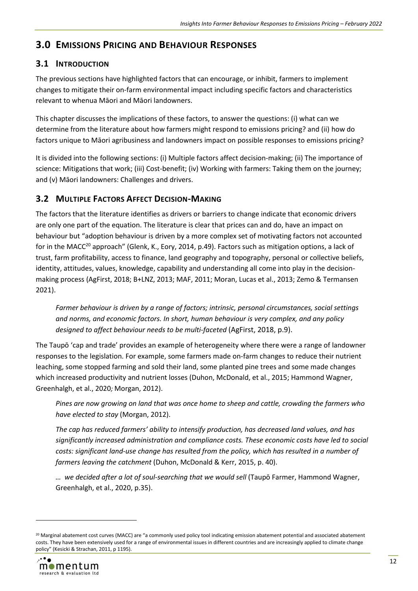# <span id="page-16-0"></span>**3.0 EMISSIONS PRICING AND BEHAVIOUR RESPONSES**

# <span id="page-16-1"></span>**3.1 INTRODUCTION**

The previous sections have highlighted factors that can encourage, or inhibit, farmers to implement changes to mitigate their on-farm environmental impact including specific factors and characteristics relevant to whenua Māori and Māori landowners.

This chapter discusses the implications of these factors, to answer the questions: (i) what can we determine from the literature about how farmers might respond to emissions pricing? and (ii) how do factors unique to Māori agribusiness and landowners impact on possible responses to emissions pricing?

It is divided into the following sections: (i) Multiple factors affect decision-making; (ii) The importance of science: Mitigations that work; (iii) Cost-benefit; (iv) Working with farmers: Taking them on the journey; and (v) Māori landowners: Challenges and drivers.

# <span id="page-16-2"></span>**3.2 MULTIPLE FACTORS AFFECT DECISION-MAKING**

The factors that the literature identifies as drivers or barriers to change indicate that economic drivers are only one part of the equation. The literature is clear that prices can and do, have an impact on behaviour but "adoption behaviour is driven by a more complex set of motivating factors not accounted for in the MACC<sup>20</sup> approach" (Glenk, K., Eory, 2014, p.49). Factors such as mitigation options, a lack of trust, farm profitability, access to finance, land geography and topography, personal or collective beliefs, identity, attitudes, values, knowledge, capability and understanding all come into play in the decisionmaking process (AgFirst, 2018; B+LNZ, 2013; MAF, 2011; Moran, Lucas et al., 2013; Zemo & Termansen 2021).

*Farmer behaviour is driven by a range of factors; intrinsic, personal circumstances, social settings and norms, and economic factors. In short, human behaviour is very complex, and any policy designed to affect behaviour needs to be multi-faceted* (AgFirst, 2018, p.9).

The Taupō 'cap and trade' provides an example of heterogeneity where there were a range of landowner responses to the legislation. For example, some farmers made on-farm changes to reduce their nutrient leaching, some stopped farming and sold their land, some planted pine trees and some made changes which increased productivity and nutrient losses (Duhon, McDonald, et al., 2015; Hammond Wagner, Greenhalgh, et al., 2020*;* Morgan, 2012).

*Pines are now growing on land that was once home to sheep and cattle, crowding the farmers who have elected to stay* (Morgan, 2012).

*The cap has reduced farmers' ability to intensify production, has decreased land values, and has significantly increased administration and compliance costs. These economic costs have led to social costs: significant land-use change has resulted from the policy, which has resulted in a number of farmers leaving the catchment* (Duhon, McDonald & Kerr, 2015, p. 40).

*… we decided after a lot of soul-searching that we would sell* (Taupō Farmer, Hammond Wagner, Greenhalgh, et al., 2020, p.35).

<sup>&</sup>lt;sup>20</sup> Marginal abatement cost curves (MACC) are "a commonly used policy tool indicating emission abatement potential and associated abatement costs. They have been extensively used for a range of environmental issues in different countries and are increasingly applied to climate change policy" (Kesicki & Strachan, 2011, p 1195).

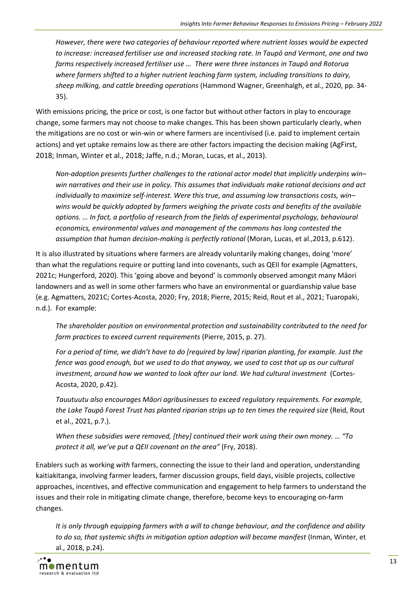*However, there were two categories of behaviour reported where nutrient losses would be expected to increase: increased fertiliser use and increased stocking rate. In Taupō and Vermont, one and two farms respectively increased fertiliser use … There were three instances in Taupō and Rotorua where farmers shifted to a higher nutrient leaching farm system, including transitions to dairy, sheep milking, and cattle breeding operations* (Hammond Wagner, Greenhalgh, et al., 2020, pp. 34- 35).

With emissions pricing, the price or cost, is one factor but without other factors in play to encourage change, some farmers may not choose to make changes. This has been shown particularly clearly, when the mitigations are no cost or win-win or where farmers are incentivised (i.e. paid to implement certain actions) and yet uptake remains low as there are other factors impacting the decision making (AgFirst, 2018; Inman, Winter et al., 2018; Jaffe, n.d.; Moran, Lucas, et al., 2013).

*Non-adoption presents further challenges to the rational actor model that implicitly underpins win– win narratives and their use in policy. This assumes that individuals make rational decisions and act individually to maximize self-interest. Were this true, and assuming low transactions costs, win– wins would be quickly adopted by farmers weighing the private costs and benefits of the available options. … In fact, a portfolio of research from the fields of experimental psychology, behavioural economics, environmental values and management of the commons has long contested the assumption that human decision-making is perfectly rational* (Moran, Lucas, et al., 2013, p.612).

It is also illustrated by situations where farmers are already voluntarily making changes, doing 'more' than what the regulations require or putting land into covenants, such as QEII for example (Agmatters, 2021c; Hungerford, 2020). This 'going above and beyond' is commonly observed amongst many Māori landowners and as well in some other farmers who have an environmental or guardianship value base (e.g. Agmatters, 2021C; Cortes-Acosta, 2020; Fry, 2018; Pierre, 2015; Reid, Rout et al., 2021; Tuaropaki, n.d.). For example:

*The shareholder position on environmental protection and sustainability contributed to the need for farm practices to exceed current requirements* (Pierre, 2015, p. 27).

*For a period of time, we didn't have to do [required by law] riparian planting, for example. Just the fence was good enough, but we used to do that anyway, we used to cost that up as our cultural*  investment, around how we wanted to look after our land. We had cultural investment (Cortes-Acosta, 2020, p.42).

*Tauutuutu also encourages Māori agribusinesses to exceed regulatory requirements. For example, the Lake Taupō Forest Trust has planted riparian strips up to ten times the required size* (Reid, Rout et al., 2021, p.7.).

*When these subsidies were removed, [they] continued their work using their own money. … "To protect it all, we've put a QEII covenant on the area"* (Fry, 2018).

Enablers such as working *with* farmers, connecting the issue to their land and operation, understanding kaitiakitanga, involving farmer leaders, farmer discussion groups, field days, visible projects, collective approaches, incentives, and effective communication and engagement to help farmers to understand the issues and their role in mitigating climate change, therefore, become keys to encouraging on-farm changes.

*It is only through equipping farmers with a will to change behaviour, and the confidence and ability to do so, that systemic shifts in mitigation option adoption will become manifest* (Inman, Winter, et al., 2018, p.24).

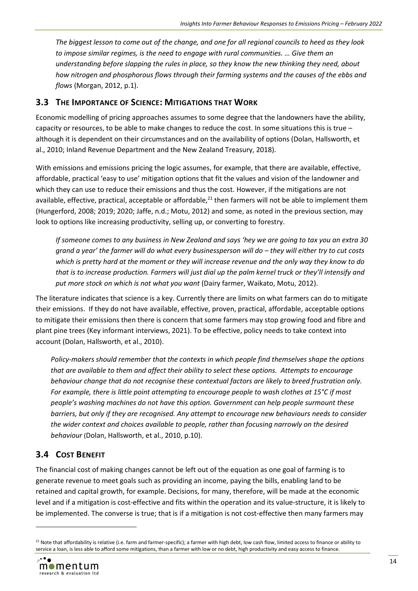*The biggest lesson to come out of the change, and one for all regional councils to heed as they look to impose similar regimes, is the need to engage with rural communities. … Give them an understanding before slapping the rules in place, so they know the new thinking they need, about how nitrogen and phosphorous flows through their farming systems and the causes of the ebbs and flows* (Morgan, 2012, p.1).

#### <span id="page-18-0"></span>**3.3 THE IMPORTANCE OF SCIENCE: MITIGATIONS THAT WORK**

Economic modelling of pricing approaches assumes to some degree that the landowners have the ability, capacity or resources, to be able to make changes to reduce the cost. In some situations this is true – although it is dependent on their circumstances and on the availability of options (Dolan, Hallsworth, et al., 2010; Inland Revenue Department and the New Zealand Treasury, 2018).

With emissions and emissions pricing the logic assumes, for example, that there are available, effective, affordable, practical 'easy to use' mitigation options that fit the values and vision of the landowner and which they can use to reduce their emissions and thus the cost. However, if the mitigations are not available, effective, practical, acceptable or affordable,<sup>21</sup> then farmers will not be able to implement them (Hungerford, 2008; 2019; 2020; Jaffe, n.d.; Motu, 2012) and some, as noted in the previous section, may look to options like increasing productivity, selling up, or converting to forestry.

*If someone comes to any business in New Zealand and says 'hey we are going to tax you an extra 30 grand a year' the farmer will do what every businessperson will do – they will either try to cut costs which is pretty hard at the moment or they will increase revenue and the only way they know to do that is to increase production. Farmers will just dial up the palm kernel truck or they'll intensify and put more stock on which is not what you want* (Dairy farmer, Waikato, Motu, 2012).

The literature indicates that science is a key. Currently there are limits on what farmers can do to mitigate their emissions. If they do not have available, effective, proven, practical, affordable, acceptable options to mitigate their emissions then there is concern that some farmers may stop growing food and fibre and plant pine trees (Key informant interviews, 2021). To be effective, policy needs to take context into account (Dolan, Hallsworth, et al., 2010).

*Policy-makers should remember that the contexts in which people find themselves shape the options that are available to them and affect their ability to select these options. Attempts to encourage behaviour change that do not recognise these contextual factors are likely to breed frustration only. For example, there is little point attempting to encourage people to wash clothes at 15°C if most people's washing machines do not have this option. Government can help people surmount these barriers, but only if they are recognised. Any attempt to encourage new behaviours needs to consider the wider context and choices available to people, rather than focusing narrowly on the desired behaviour* (Dolan, Hallsworth, et al., 2010, p.10).

# <span id="page-18-1"></span>**3.4 COST BENEFIT**

The financial cost of making changes cannot be left out of the equation as one goal of farming is to generate revenue to meet goals such as providing an income, paying the bills, enabling land to be retained and capital growth, for example. Decisions, for many, therefore, will be made at the economic level and if a mitigation is cost-effective and fits within the operation and its value-structure, it is likely to be implemented. The converse is true; that is if a mitigation is not cost-effective then many farmers may

<sup>&</sup>lt;sup>21</sup> Note that affordability is relative (i.e. farm and farmer-specific); a farmer with high debt, low cash flow, limited access to finance or ability to service a loan, is less able to afford some mitigations, than a farmer with low or no debt, high productivity and easy access to finance.

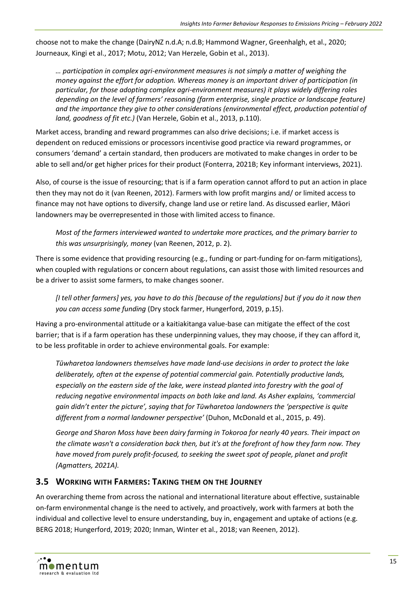choose not to make the change (DairyNZ n.d.A; n.d.B; Hammond Wagner, Greenhalgh, et al., 2020; Journeaux, Kingi et al., 2017; Motu, 2012; Van Herzele, Gobin et al., 2013).

*… participation in complex agri-environment measures is not simply a matter of weighing the money against the effort for adoption. Whereas money is an important driver of participation (in particular, for those adopting complex agri-environment measures) it plays widely differing roles depending on the level of farmers' reasoning (farm enterprise, single practice or landscape feature) and the importance they give to other considerations (environmental effect, production potential of land, goodness of fit etc.)* (Van Herzele, Gobin et al., 2013, p.110).

Market access, branding and reward programmes can also drive decisions; i.e. if market access is dependent on reduced emissions or processors incentivise good practice via reward programmes, or consumers 'demand' a certain standard, then producers are motivated to make changes in order to be able to sell and/or get higher prices for their product (Fonterra, 2021B; Key informant interviews, 2021).

Also, of course is the issue of resourcing; that is if a farm operation cannot afford to put an action in place then they may not do it (van Reenen, 2012). Farmers with low profit margins and/ or limited access to finance may not have options to diversify, change land use or retire land. As discussed earlier, Māori landowners may be overrepresented in those with limited access to finance.

*Most of the farmers interviewed wanted to undertake more practices, and the primary barrier to this was unsurprisingly, money* (van Reenen, 2012, p. 2).

There is some evidence that providing resourcing (e.g., funding or part-funding for on-farm mitigations), when coupled with regulations or concern about regulations, can assist those with limited resources and be a driver to assist some farmers, to make changes sooner.

*[I tell other farmers] yes, you have to do this [because of the regulations] but if you do it now then you can access some funding* (Dry stock farmer, Hungerford, 2019, p.15).

Having a pro-environmental attitude or a kaitiakitanga value-base can mitigate the effect of the cost barrier; that is if a farm operation has these underpinning values, they may choose, if they can afford it, to be less profitable in order to achieve environmental goals. For example:

*Tūwharetoa landowners themselves have made land-use decisions in order to protect the lake deliberately, often at the expense of potential commercial gain. Potentially productive lands, especially on the eastern side of the lake, were instead planted into forestry with the goal of reducing negative environmental impacts on both lake and land. As Asher explains, 'commercial gain didn't enter the picture', saying that for Tūwharetoa landowners the 'perspective is quite different from a normal landowner perspective'* (Duhon, McDonald et al., 2015, p. 49).

*George and Sharon Moss have been dairy farming in Tokoroa for nearly 40 years. Their impact on the climate wasn't a consideration back then, but it's at the forefront of how they farm now. They have moved from purely profit-focused, to seeking the sweet spot of people, planet and profit (Agmatters, 2021A).*

## <span id="page-19-0"></span>**3.5 WORKING WITH FARMERS: TAKING THEM ON THE JOURNEY**

An overarching theme from across the national and international literature about effective, sustainable on-farm environmental change is the need to actively, and proactively, work with farmers at both the individual and collective level to ensure understanding, buy in, engagement and uptake of actions (e.g. BERG 2018; Hungerford, 2019; 2020; Inman, Winter et al., 2018; van Reenen, 2012).

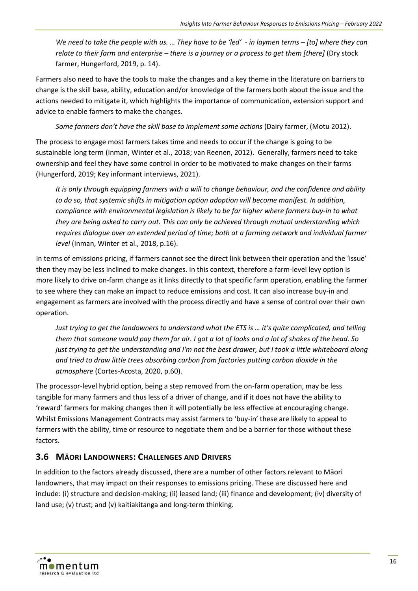*We need to take the people with us. … They have to be 'led' - in laymen terms – [to] where they can relate to their farm and enterprise – there is a journey or a process to get them [there]* (Dry stock farmer, Hungerford, 2019, p. 14).

Farmers also need to have the tools to make the changes and a key theme in the literature on barriers to change is the skill base, ability, education and/or knowledge of the farmers both about the issue and the actions needed to mitigate it, which highlights the importance of communication, extension support and advice to enable farmers to make the changes.

*Some farmers don't have the skill base to implement some actions* (Dairy farmer, (Motu 2012).

The process to engage most farmers takes time and needs to occur if the change is going to be sustainable long term (Inman, Winter et al., 2018; van Reenen, 2012). Generally, farmers need to take ownership and feel they have some control in order to be motivated to make changes on their farms (Hungerford, 2019; Key informant interviews, 2021).

*It is only through equipping farmers with a will to change behaviour, and the confidence and ability to do so, that systemic shifts in mitigation option adoption will become manifest. In addition, compliance with environmental legislation is likely to be far higher where farmers buy-in to what they are being asked to carry out. This can only be achieved through mutual understanding which requires dialogue over an extended period of time; both at a farming network and individual farmer level* (Inman, Winter et al., 2018, p.16).

In terms of emissions pricing, if farmers cannot see the direct link between their operation and the 'issue' then they may be less inclined to make changes. In this context, therefore a farm-level levy option is more likely to drive on-farm change as it links directly to that specific farm operation, enabling the farmer to see where they can make an impact to reduce emissions and cost. It can also increase buy-in and engagement as farmers are involved with the process directly and have a sense of control over their own operation.

*Just trying to get the landowners to understand what the ETS is … it's quite complicated, and telling them that someone would pay them for air. I got a lot of looks and a lot of shakes of the head. So just trying to get the understanding and I'm not the best drawer, but I took a little whiteboard along and tried to draw little trees absorbing carbon from factories putting carbon dioxide in the atmosphere* (Cortes-Acosta, 2020, p.60).

The processor-level hybrid option, being a step removed from the on-farm operation, may be less tangible for many farmers and thus less of a driver of change, and if it does not have the ability to 'reward' farmers for making changes then it will potentially be less effective at encouraging change. Whilst Emissions Management Contracts may assist farmers to 'buy-in' these are likely to appeal to farmers with the ability, time or resource to negotiate them and be a barrier for those without these factors.

# <span id="page-20-0"></span>**3.6 MĀORI LANDOWNERS: CHALLENGES AND DRIVERS**

In addition to the factors already discussed, there are a number of other factors relevant to Māori landowners, that may impact on their responses to emissions pricing. These are discussed here and include: (i) structure and decision-making; (ii) leased land; (iii) finance and development; (iv) diversity of land use; (v) trust; and (v) kaitiakitanga and long-term thinking.

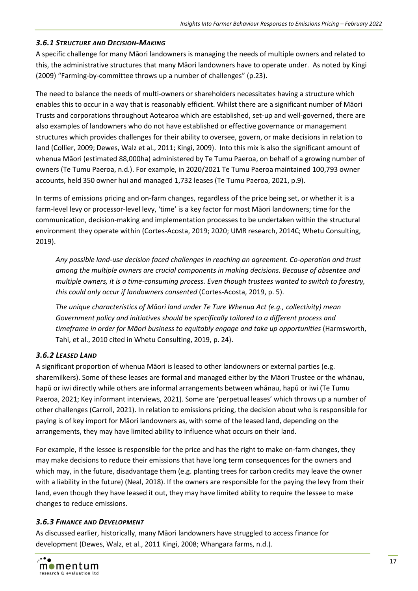#### <span id="page-21-0"></span>*3.6.1 STRUCTURE AND DECISION-MAKING*

A specific challenge for many Māori landowners is managing the needs of multiple owners and related to this, the administrative structures that many Māori landowners have to operate under. As noted by Kingi (2009) "Farming-by-committee throws up a number of challenges" (p.23).

The need to balance the needs of multi-owners or shareholders necessitates having a structure which enables this to occur in a way that is reasonably efficient. Whilst there are a significant number of Māori Trusts and corporations throughout Aotearoa which are established, set-up and well-governed, there are also examples of landowners who do not have established or effective governance or management structures which provides challenges for their ability to oversee, govern, or make decisions in relation to land (Collier, 2009; Dewes, Walz et al., 2011; Kingi, 2009). Into this mix is also the significant amount of whenua Māori (estimated 88,000ha) administered by Te Tumu Paeroa, on behalf of a growing number of owners (Te Tumu Paeroa, n.d.). For example, in 2020/2021 Te Tumu Paeroa maintained 100,793 owner accounts, held 350 owner hui and managed 1,732 leases (Te Tumu Paeroa, 2021, p.9).

In terms of emissions pricing and on-farm changes, regardless of the price being set, or whether it is a farm-level levy or processor-level levy, 'time' is a key factor for most Māori landowners; time for the communication, decision-making and implementation processes to be undertaken within the structural environment they operate within (Cortes-Acosta, 2019; 2020; UMR research, 2014C; Whetu Consulting, 2019).

*Any possible land-use decision faced challenges in reaching an agreement. Co-operation and trust among the multiple owners are crucial components in making decisions. Because of absentee and multiple owners, it is a time-consuming process. Even though trustees wanted to switch to forestry, this could only occur if landowners consented* (Cortes-Acosta, 2019, p. 5).

*The unique characteristics of Māori land under Te Ture Whenua Act (e.g., collectivity) mean Government policy and initiatives should be specifically tailored to a different process and timeframe in order for Māori business to equitably engage and take up opportunities* (Harmsworth, Tahi, et al., 2010 cited in Whetu Consulting, 2019, p. 24).

## <span id="page-21-1"></span>*3.6.2 LEASED LAND*

A significant proportion of whenua Māori is leased to other landowners or external parties (e.g. sharemilkers). Some of these leases are formal and managed either by the Māori Trustee or the whānau, hapū or iwi directly while others are informal arrangements between whānau, hapū or iwi (Te Tumu Paeroa, 2021; Key informant interviews, 2021). Some are 'perpetual leases' which throws up a number of other challenges (Carroll, 2021). In relation to emissions pricing, the decision about who is responsible for paying is of key import for Māori landowners as, with some of the leased land, depending on the arrangements, they may have limited ability to influence what occurs on their land.

For example, if the lessee is responsible for the price and has the right to make on-farm changes, they may make decisions to reduce their emissions that have long term consequences for the owners and which may, in the future, disadvantage them (e.g. planting trees for carbon credits may leave the owner with a liability in the future) (Neal, 2018). If the owners are responsible for the paying the levy from their land, even though they have leased it out, they may have limited ability to require the lessee to make changes to reduce emissions.

#### <span id="page-21-2"></span>*3.6.3 FINANCE AND DEVELOPMENT*

As discussed earlier, historically, many Māori landowners have struggled to access finance for development (Dewes, Walz, et al., 2011 Kingi, 2008; Whangara farms, n.d.).

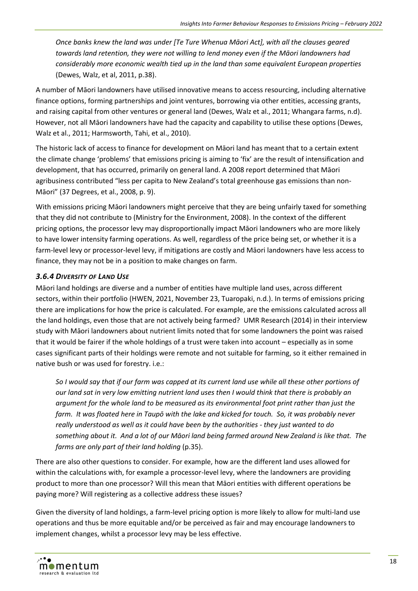*Once banks knew the land was under [Te Ture Whenua Māori Act], with all the clauses geared towards land retention, they were not willing to lend money even if the Māori landowners had considerably more economic wealth tied up in the land than some equivalent European properties*  (Dewes, Walz, et al, 2011, p.38).

A number of Māori landowners have utilised innovative means to access resourcing, including alternative finance options, forming partnerships and joint ventures, borrowing via other entities, accessing grants, and raising capital from other ventures or general land (Dewes, Walz et al., 2011; Whangara farms, n.d). However, not all Māori landowners have had the capacity and capability to utilise these options (Dewes, Walz et al., 2011; Harmsworth, Tahi, et al., 2010).

The historic lack of access to finance for development on Māori land has meant that to a certain extent the climate change 'problems' that emissions pricing is aiming to 'fix' are the result of intensification and development, that has occurred, primarily on general land. A 2008 report determined that Māori agribusiness contributed "less per capita to New Zealand's total greenhouse gas emissions than non-Māori" (37 Degrees, et al., 2008, p. 9).

With emissions pricing Māori landowners might perceive that they are being unfairly taxed for something that they did not contribute to (Ministry for the Environment, 2008). In the context of the different pricing options, the processor levy may disproportionally impact Māori landowners who are more likely to have lower intensity farming operations. As well, regardless of the price being set, or whether it is a farm-level levy or processor-level levy, if mitigations are costly and Māori landowners have less access to finance, they may not be in a position to make changes on farm.

#### <span id="page-22-0"></span>*3.6.4 DIVERSITY OF LAND USE*

Māori land holdings are diverse and a number of entities have multiple land uses, across different sectors, within their portfolio (HWEN, 2021, November 23, Tuaropaki, n.d.). In terms of emissions pricing there are implications for how the price is calculated. For example, are the emissions calculated across all the land holdings, even those that are not actively being farmed? UMR Research (2014) in their interview study with Māori landowners about nutrient limits noted that for some landowners the point was raised that it would be fairer if the whole holdings of a trust were taken into account – especially as in some cases significant parts of their holdings were remote and not suitable for farming, so it either remained in native bush or was used for forestry. i.e.:

*So I would say that if our farm was capped at its current land use while all these other portions of our land sat in very low emitting nutrient land uses then I would think that there is probably an argument for the whole land to be measured as its environmental foot print rather than just the farm. It was floated here in Taupō with the lake and kicked for touch. So, it was probably never really understood as well as it could have been by the authorities - they just wanted to do something about it. And a lot of our Māori land being farmed around New Zealand is like that. The farms are only part of their land holding* (p.35).

There are also other questions to consider. For example, how are the different land uses allowed for within the calculations with, for example a processor-level levy, where the landowners are providing product to more than one processor? Will this mean that Māori entities with different operations be paying more? Will registering as a collective address these issues?

Given the diversity of land holdings, a farm-level pricing option is more likely to allow for multi-land use operations and thus be more equitable and/or be perceived as fair and may encourage landowners to implement changes, whilst a processor levy may be less effective.

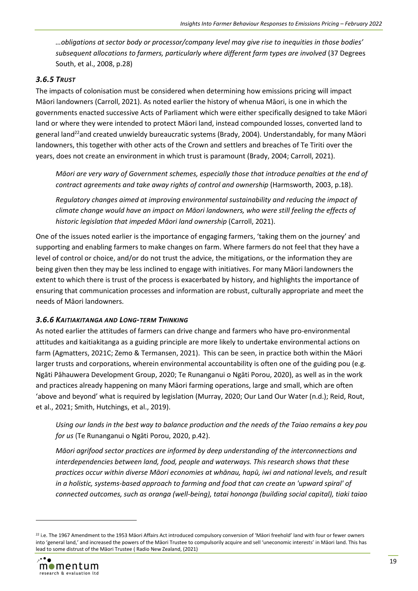*…obligations at sector body or processor/company level may give rise to inequities in those bodies' subsequent allocations to farmers, particularly where different farm types are involved* (37 Degrees South, et al., 2008, p.28)

#### <span id="page-23-0"></span>*3.6.5 TRUST*

The impacts of colonisation must be considered when determining how emissions pricing will impact Māori landowners (Carroll, 2021). As noted earlier the history of whenua Māori, is one in which the governments enacted successive Acts of Parliament which were either specifically designed to take Māori land or where they were intended to protect Māori land, instead compounded losses, converted land to general land<sup>22</sup>and created unwieldy bureaucratic systems (Brady, 2004). Understandably, for many Māori landowners, this together with other acts of the Crown and settlers and breaches of Te Tiriti over the years, does not create an environment in which trust is paramount (Brady, 2004; Carroll, 2021).

*Māori are very wary of Government schemes, especially those that introduce penalties at the end of contract agreements and take away rights of control and ownership* (Harmsworth, 2003, p.18).

*Regulatory changes aimed at improving environmental sustainability and reducing the impact of climate change would have an impact on Māori landowners, who were still feeling the effects of historic legislation that impeded Māori land ownership* (Carroll, 2021).

One of the issues noted earlier is the importance of engaging farmers, 'taking them on the journey' and supporting and enabling farmers to make changes on farm. Where farmers do not feel that they have a level of control or choice, and/or do not trust the advice, the mitigations, or the information they are being given then they may be less inclined to engage with initiatives. For many Māori landowners the extent to which there is trust of the process is exacerbated by history, and highlights the importance of ensuring that communication processes and information are robust, culturally appropriate and meet the needs of Māori landowners.

#### <span id="page-23-1"></span>*3.6.6 KAITIAKITANGA AND LONG-TERM THINKING*

As noted earlier the attitudes of farmers can drive change and farmers who have pro-environmental attitudes and kaitiakitanga as a guiding principle are more likely to undertake environmental actions on farm (Agmatters, 2021C; Zemo & Termansen, 2021). This can be seen, in practice both within the Māori larger trusts and corporations, wherein environmental accountability is often one of the guiding pou (e.g. Ngāti Pāhauwera Development Group, 2020; Te Runanganui o Ngāti Porou, 2020), as well as in the work and practices already happening on many Māori farming operations, large and small, which are often 'above and beyond' what is required by legislation (Murray, 2020; Our Land Our Water (n.d.); Reid, Rout, et al., 2021; Smith, Hutchings, et al., 2019).

*Using our lands in the best way to balance production and the needs of the Taiao remains a key pou for us* (Te Runanganui o Ngāti Porou, 2020, p.42).

*Māori agrifood sector practices are informed by deep understanding of the interconnections and interdependencies between land, food, people and waterways. This research shows that these practices occur within diverse Māori economies at whānau, hapū, iwi and national levels, and result in a holistic, systems-based approach to farming and food that can create an 'upward spiral' of connected outcomes, such as oranga (well-being), tatai hononga (building social capital), tiaki taiao* 

<sup>&</sup>lt;sup>22</sup> i.e. The 1967 Amendment to the 1953 Māori Affairs Act introduced compulsory conversion of 'Māori freehold' land with four or fewer owners into 'general land,' and increased the powers of the Māori Trustee to compulsorily acquire and sell 'uneconomic interests' in Māori land. This has lead to some distrust of the Māori Trustee ( Radio New Zealand, (2021)

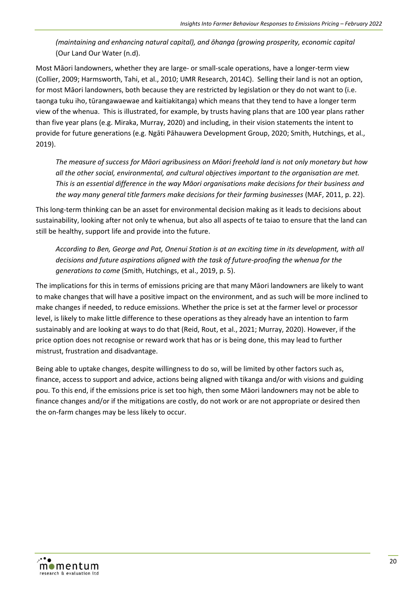*(maintaining and enhancing natural capital), and ōhanga (growing prosperity, economic capital*  (Our Land Our Water (n.d).

Most Māori landowners, whether they are large- or small-scale operations, have a longer-term view (Collier, 2009; Harmsworth, Tahi, et al., 2010; UMR Research, 2014C). Selling their land is not an option, for most Māori landowners, both because they are restricted by legislation or they do not want to (i.e. taonga tuku iho, tūrangawaewae and kaitiakitanga) which means that they tend to have a longer term view of the whenua. This is illustrated, for example, by trusts having plans that are 100 year plans rather than five year plans (e.g. Miraka, Murray, 2020) and including, in their vision statements the intent to provide for future generations (e.g. Ngāti Pāhauwera Development Group, 2020; Smith, Hutchings, et al., 2019).

*The measure of success for Māori agribusiness on Māori freehold land is not only monetary but how all the other social, environmental, and cultural objectives important to the organisation are met. This is an essential difference in the way Māori organisations make decisions for their business and the way many general title farmers make decisions for their farming businesses* (MAF, 2011, p. 22).

This long-term thinking can be an asset for environmental decision making as it leads to decisions about sustainability, looking after not only te whenua, but also all aspects of te taiao to ensure that the land can still be healthy, support life and provide into the future.

*According to Ben, George and Pat, Onenui Station is at an exciting time in its development, with all decisions and future aspirations aligned with the task of future-proofing the whenua for the generations to come* (Smith, Hutchings, et al., 2019, p. 5).

The implications for this in terms of emissions pricing are that many Māori landowners are likely to want to make changes that will have a positive impact on the environment, and as such will be more inclined to make changes if needed, to reduce emissions. Whether the price is set at the farmer level or processor level, is likely to make little difference to these operations as they already have an intention to farm sustainably and are looking at ways to do that (Reid, Rout, et al., 2021; Murray, 2020). However, if the price option does not recognise or reward work that has or is being done, this may lead to further mistrust, frustration and disadvantage.

Being able to uptake changes, despite willingness to do so, will be limited by other factors such as, finance, access to support and advice, actions being aligned with tikanga and/or with visions and guiding pou. To this end, if the emissions price is set too high, then some Māori landowners may not be able to finance changes and/or if the mitigations are costly, do not work or are not appropriate or desired then the on-farm changes may be less likely to occur.

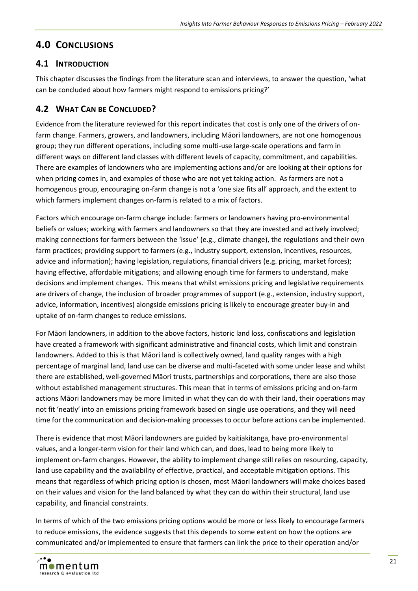# <span id="page-25-0"></span>**4.0 CONCLUSIONS**

# <span id="page-25-1"></span>**4.1 INTRODUCTION**

This chapter discusses the findings from the literature scan and interviews, to answer the question, 'what can be concluded about how farmers might respond to emissions pricing?'

# <span id="page-25-2"></span>**4.2 WHAT CAN BE CONCLUDED?**

Evidence from the literature reviewed for this report indicates that cost is only one of the drivers of onfarm change. Farmers, growers, and landowners, including Māori landowners, are not one homogenous group; they run different operations, including some multi-use large-scale operations and farm in different ways on different land classes with different levels of capacity, commitment, and capabilities. There are examples of landowners who are implementing actions and/or are looking at their options for when pricing comes in, and examples of those who are not yet taking action. As farmers are not a homogenous group, encouraging on-farm change is not a 'one size fits all' approach, and the extent to which farmers implement changes on-farm is related to a mix of factors.

Factors which encourage on-farm change include: farmers or landowners having pro-environmental beliefs or values; working with farmers and landowners so that they are invested and actively involved; making connections for farmers between the 'issue' (e.g., climate change), the regulations and their own farm practices; providing support to farmers (e.g., industry support, extension, incentives, resources, advice and information); having legislation, regulations, financial drivers (e.g. pricing, market forces); having effective, affordable mitigations; and allowing enough time for farmers to understand, make decisions and implement changes. This means that whilst emissions pricing and legislative requirements are drivers of change, the inclusion of broader programmes of support (e.g., extension, industry support, advice, information, incentives) alongside emissions pricing is likely to encourage greater buy-in and uptake of on-farm changes to reduce emissions.

For Māori landowners, in addition to the above factors, historic land loss, confiscations and legislation have created a framework with significant administrative and financial costs, which limit and constrain landowners. Added to this is that Māori land is collectively owned, land quality ranges with a high percentage of marginal land, land use can be diverse and multi-faceted with some under lease and whilst there are established, well-governed Māori trusts, partnerships and corporations, there are also those without established management structures. This mean that in terms of emissions pricing and on-farm actions Māori landowners may be more limited in what they can do with their land, their operations may not fit 'neatly' into an emissions pricing framework based on single use operations, and they will need time for the communication and decision-making processes to occur before actions can be implemented.

There is evidence that most Māori landowners are guided by kaitiakitanga, have pro-environmental values, and a longer-term vision for their land which can, and does, lead to being more likely to implement on-farm changes. However, the ability to implement change still relies on resourcing, capacity, land use capability and the availability of effective, practical, and acceptable mitigation options. This means that regardless of which pricing option is chosen, most Māori landowners will make choices based on their values and vision for the land balanced by what they can do within their structural, land use capability, and financial constraints.

In terms of which of the two emissions pricing options would be more or less likely to encourage farmers to reduce emissions, the evidence suggests that this depends to some extent on how the options are communicated and/or implemented to ensure that farmers can link the price to their operation and/or

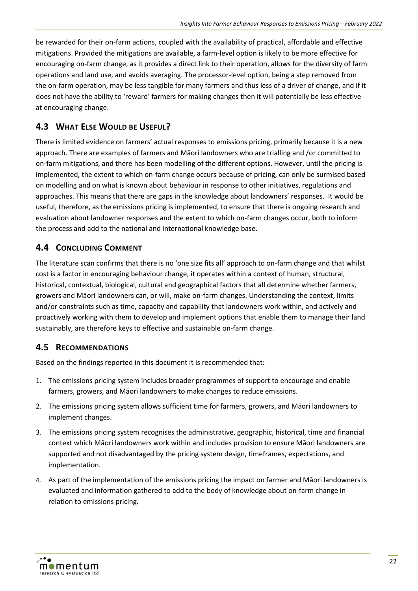be rewarded for their on-farm actions, coupled with the availability of practical, affordable and effective mitigations. Provided the mitigations are available, a farm-level option is likely to be more effective for encouraging on-farm change, as it provides a direct link to their operation, allows for the diversity of farm operations and land use, and avoids averaging. The processor-level option, being a step removed from the on-farm operation, may be less tangible for many farmers and thus less of a driver of change, and if it does not have the ability to 'reward' farmers for making changes then it will potentially be less effective at encouraging change.

# <span id="page-26-0"></span>**4.3 WHAT ELSE WOULD BE USEFUL?**

There is limited evidence on farmers' actual responses to emissions pricing, primarily because it is a new approach. There are examples of farmers and Māori landowners who are trialling and /or committed to on-farm mitigations, and there has been modelling of the different options. However, until the pricing is implemented, the extent to which on-farm change occurs because of pricing, can only be surmised based on modelling and on what is known about behaviour in response to other initiatives, regulations and approaches. This means that there are gaps in the knowledge about landowners' responses. It would be useful, therefore, as the emissions pricing is implemented, to ensure that there is ongoing research and evaluation about landowner responses and the extent to which on-farm changes occur, both to inform the process and add to the national and international knowledge base.

# <span id="page-26-1"></span>**4.4 CONCLUDING COMMENT**

The literature scan confirms that there is no 'one size fits all' approach to on-farm change and that whilst cost is a factor in encouraging behaviour change, it operates within a context of human, structural, historical, contextual, biological, cultural and geographical factors that all determine whether farmers, growers and Māori landowners can, or will, make on-farm changes. Understanding the context, limits and/or constraints such as time, capacity and capability that landowners work within, and actively and proactively working with them to develop and implement options that enable them to manage their land sustainably, are therefore keys to effective and sustainable on-farm change.

# <span id="page-26-2"></span>**4.5 RECOMMENDATIONS**

Based on the findings reported in this document it is recommended that:

- 1. The emissions pricing system includes broader programmes of support to encourage and enable farmers, growers, and Māori landowners to make changes to reduce emissions.
- 2. The emissions pricing system allows sufficient time for farmers, growers, and Māori landowners to implement changes.
- 3. The emissions pricing system recognises the administrative, geographic, historical, time and financial context which Māori landowners work within and includes provision to ensure Māori landowners are supported and not disadvantaged by the pricing system design, timeframes, expectations, and implementation.
- 4. As part of the implementation of the emissions pricing the impact on farmer and Māori landowners is evaluated and information gathered to add to the body of knowledge about on-farm change in relation to emissions pricing.

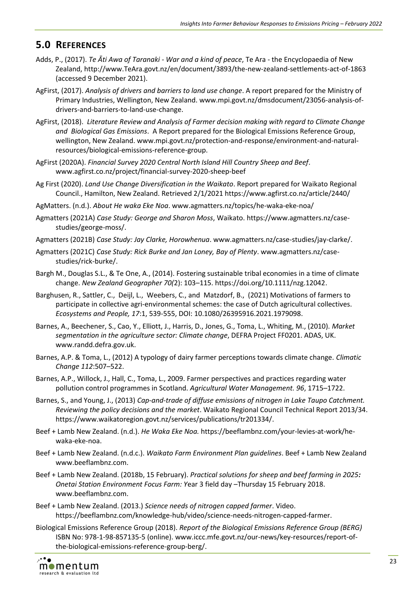# <span id="page-27-0"></span>**5.0 REFERENCES**

- Adds, P., (2017). *Te Āti Awa of Taranaki - War and a kind of peace*, Te Ara the Encyclopaedia of New Zealand, http://www.TeAra.govt.nz/en/document/3893/the-new-zealand-settlements-act-of-1863 (accessed 9 December 2021).
- AgFirst, (2017). *Analysis of drivers and barriers to land use change*. A report prepared for the Ministry of Primary Industries, Wellington, New Zealand. www.mpi.govt.nz/dmsdocument/23056-analysis-ofdrivers-and-barriers-to-land-use-change.
- AgFirst, (2018). *Literature Review and Analysis of Farmer decision making with regard to Climate Change and Biological Gas Emissions*. A Report prepared for the Biological Emissions Reference Group, wellington, New Zealand. www.mpi.govt.nz/protection-and-response/environment-and-naturalresources/biological-emissions-reference-group.
- AgFirst (2020A). *Financial Survey 2020 Central North Island Hill Country Sheep and Beef*. www.agfirst.co.nz/project/financial-survey-2020-sheep-beef
- Ag First (2020). *Land Use Change Diversification in the Waikato*. Report prepared for Waikato Regional Council., Hamilton, New Zealand. Retrieved 2/1/2021<https://www.agfirst.co.nz/article/2440/>
- AgMatters. (n.d.). *About He waka Eke Noa*. [www.agmatters.nz/topics/he-waka-eke-noa/](https://www.agmatters.nz/topics/he-waka-eke-noa/)
- Agmatters (2021A) *Case Study: George and Sharon Moss*, Waikato. https://www.agmatters.nz/casestudies/george-moss/.
- Agmatters (2021B) *Case Study: Jay Clarke, Horowhenua*. [www.agmatters.nz/case-studies/jay-clarke/.](https://www.agmatters.nz/case-studies/jay-clarke/)
- Agmatters (2021C) *Case Study: Rick Burke and Jan Loney, Bay of Plenty*. www.agmatters.nz/casestudies/rick-burke/.
- Bargh M., Douglas S.L., & Te One, A., (2014). Fostering sustainable tribal economies in a time of climate change. *New Zealand Geographer 70(*2): 103–115. https://doi.org/10.1111/nzg.12042.
- Barghusen, R., Sattler, C., Deijl, L., Weebers, C., and Matzdorf, B., (2021) Motivations of farmers to participate in collective agri-environmental schemes: the case of Dutch agricultural collectives. *Ecosystems and People, 17*:1, 539-555, DOI: [10.1080/26395916.2021.1979098.](https://doi.org/10.1080/26395916.2021.1979098)
- Barnes, A., Beechener, S., Cao, Y., Elliott, J., Harris, D., Jones, G., Toma, L., Whiting, M., (2010). *Market segmentation in the agriculture sector: Climate change*, DEFRA Project FF0201. ADAS, UK. www.randd.defra.gov.uk.
- Barnes, A.P. & Toma, L., (2012) A typology of dairy farmer perceptions towards climate change. *Climatic Change 112*:507–522.
- Barnes, A.P., Willock, J., Hall, C., Toma, L., 2009. Farmer perspectives and practices regarding water pollution control programmes in Scotland. *Agricultural Water Management. 96*, 1715–1722.
- Barnes, S., and Young, J., (2013) *Cap-and-trade of diffuse emissions of nitrogen in Lake Taupo Catchment. Reviewing the policy decisions and the market*. Waikato Regional Council Technical Report 2013/34. [https://www.waikatoregion.govt.nz/services/publications/tr201334/.](https://www.waikatoregion.govt.nz/services/publications/tr201334/)
- Beef + Lamb New Zealand. (n.d.). *He Waka Eke Noa.* [https://beeflambnz.com/your-levies-at-work/he](https://beeflambnz.com/your-levies-at-work/he-waka-eke-noa)[waka-eke-noa.](https://beeflambnz.com/your-levies-at-work/he-waka-eke-noa)
- Beef + Lamb New Zealand. (n.d.c.). *Waikato Farm Environment Plan guidelines*. Beef + Lamb New Zealand www.beeflambnz.com.
- Beef + Lamb New Zealand. (2018b, 15 February). *Practical solutions for sheep and beef farming in 2025: Onetai Station Environment Focus Farm: Y*ear 3 field day –Thursday 15 February 2018. www.beeflambnz.com.
- Beef + Lamb New Zealand. (2013.) *Science needs of nitrogen capped farmer*. Video. [https://beeflambnz.com/knowledge-hub/video/science-needs-nitrogen-capped-farmer.](https://beeflambnz.com/knowledge-hub/video/science-needs-nitrogen-capped-farmer)
- Biological Emissions Reference Group (2018). *Report of the Biological Emissions Reference Group (BERG)* ISBN No: 978-1-98-857135-5 (online)[. www.iccc.mfe.govt.nz/our-news/key-resources/report-of](http://www.iccc.mfe.govt.nz/our-news/key-resources/report-of-the-biological-emissions-reference-group-berg/)[the-biological-emissions-reference-group-berg/.](http://www.iccc.mfe.govt.nz/our-news/key-resources/report-of-the-biological-emissions-reference-group-berg/)

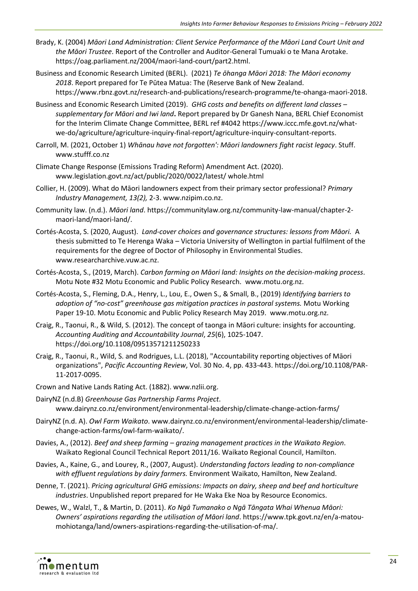- Brady, K. (2004) *Māori Land Administration: Client Service Performance of the Māori Land Court Unit and the Māori Trustee*. Report of the Controller and Auditor-General Tumuaki o te Mana Arotake. https://oag.parliament.nz/2004/maori-land-court/part2.html.
- Business and Economic Research Limited (BERL). (2021) *Te ōhanga Māori 2018: The Māori economy 2018*. Report prepared for Te Pūtea Matua: The (Reserve Bank of New Zealand. [https://www.rbnz.govt.nz/research-and-publications/research-programme/te-ohanga-maori-2018.](https://www.rbnz.govt.nz/research-and-publications/research-programme/te-ohanga-maori-2018)
- Business and Economic Research Limited (2019). *GHG costs and benefits on different land classes – supplementary for Māori and Iwi land***.** Report prepared by Dr Ganesh Nana, BERL Chief Economist for the Interim Climate Change Committee, BERL ref #4042 https://www.iccc.mfe.govt.nz/whatwe-do/agriculture/agriculture-inquiry-final-report/agriculture-inquiry-consultant-reports.
- Carroll, M. (2021, October 1) *Whānau have not forgotten': Māori landowners fight racist legacy*. Stuff. www.stufff.co.nz
- Climate Change Response (Emissions Trading Reform) Amendment Act. (2020). www.legislation.govt.nz/act/public/2020/0022/latest/ whole.html
- Collier, H. (2009). What do Māori landowners expect from their primary sector professional? *Primary Industry Management, 13(2),* 2-3. www.nzipim.co.nz.
- Community law. (n.d.). *Māori land*. https://communitylaw.org.nz/community-law-manual/chapter-2 maori-land/maori-land/.
- Cortés-Acosta, S. (2020, August). *Land-cover choices and governance structures: lessons from Māori.* A thesis submitted to Te Herenga Waka – Victoria University of Wellington in partial fulfilment of the requirements for the degree of Doctor of Philosophy in Environmental Studies. [www.researcharchive.vuw.ac.nz.](http://www.researcharchive.vuw.ac.nz/)
- Cortés-Acosta, S., (2019, March). *Carbon farming on Māori land: Insights on the decision-making process*. Motu Note #32 Motu Economic and Public Policy Research. [www.motu.org.nz.](http://www.motu.org.nz/)
- Cortés-Acosta, S., Fleming, D.A., Henry, L., Lou, E., Owen S., & Small, B., (2019) *Identifying barriers to adoption of "no-cost" greenhouse gas mitigation practices in pastoral systems.* Motu Working Paper 19-10. Motu Economic and Public Policy Research May 2019. [www.motu.org.nz.](http://www.motu.org.nz/)
- Craig, R., Taonui, R., & Wild, S. (2012). The concept of taonga in Māori culture: insights for accounting. *Accounting Auditing and Accountability Journal*, *25*(6), 1025-1047. <https://doi.org/10.1108/09513571211250233>
- Craig, R., Taonui, R., Wild, S. and Rodrigues, L.L. (2018), "Accountability reporting objectives of Māori organizations", *Pacific Accounting Review*, Vol. 30 No. 4, pp. 433-443. [https://doi.org/10.1108/PAR-](https://doi.org/10.1108/PAR-11-2017-0095)[11-2017-0095.](https://doi.org/10.1108/PAR-11-2017-0095)
- Crown and Native Lands Rating Act. (1882). www.nzlii.org.
- DairyNZ (n.d.B) *Greenhouse Gas Partnership Farms Project*. www.dairynz.co.nz/environment/environmental-leadership/climate-change-action-farms/
- DairyNZ (n.d. A). *Owl Farm Waikato*. www.dairynz.co.nz/environment/environmental-leadership/climatechange-action-farms/owl-farm-waikato/.
- Davies, A., (2012). *Beef and sheep farming – grazing management practices in the Waikato Region*. Waikato Regional Council Technical Report 2011/16. Waikato Regional Council, Hamilton.
- Davies, A., Kaine, G., and Lourey, R., (2007, August). *Understanding factors leading to non-compliance with effluent regulations by dairy farmers.* Environment Waikato, Hamilton, New Zealand.
- Denne, T. (2021). *Pricing agricultural GHG emissions: Impacts on dairy, sheep and beef and horticulture industries*. Unpublished report prepared for He Waka Eke Noa by Resource Economics.
- Dewes, W., Walzl, T., & Martin, D. (2011). *Ko Ngā Tumanako o Ngā Tāngata Whai Whenua Māori: Owners' aspirations regarding the utilisation of Māori land*. https://www.tpk.govt.nz/en/a-matoumohiotanga/land/owners-aspirations-regarding-the-utilisation-of-ma/.

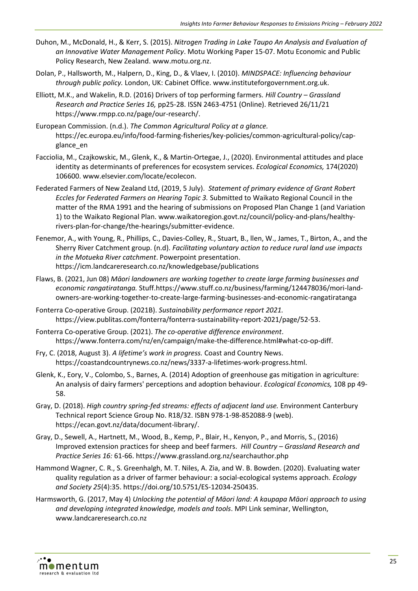- Duhon, M., McDonald, H., & Kerr, S. (2015). *Nitrogen Trading in Lake Taupo An Analysis and Evaluation of an Innovative Water Management Policy*. Motu Working Paper 15-07. Motu Economic and Public Policy Research, New Zealand. [www.motu.org.nz.](http://www.motu.org.nz/)
- Dolan, P., Hallsworth, M., Halpern, D., King, D., & Vlaev, I. (2010). *MINDSPACE: Influencing behaviour through public policy.* London, UK: Cabinet Office. www.instituteforgovernment.org.uk.
- Elliott, M.K., and Wakelin, R.D. (2016) Drivers of top performing farmers. *Hill Country – Grassland Research and Practice Series 16,* pp25-28. ISSN 2463-4751 (Online). Retrieved 26/11/21 [https://www.rmpp.co.nz/page/our-research/.](https://www.rmpp.co.nz/page/our-research/)
- European Commission. (n.d.). *The Common Agricultural Policy at a glance.* https://ec.europa.eu/info/food-farming-fisheries/key-policies/common-agricultural-policy/capglance\_en
- Facciolia, M., Czajkowskic, M., Glenk, K., & Martin-Ortegae, J., (2020). Environmental attitudes and place identity as determinants of preferences for ecosystem services. *Ecological Economics,* 174(2020) 106600. [www.elsevier.com/locate/ecolecon.](http://www.elsevier.com/locate/ecolecon)
- Federated Farmers of New Zealand Ltd, (2019, 5 July). *Statement of primary evidence of Grant Robert Eccles for Federated Farmers on Hearing Topic 3.* Submitted to Waikato Regional Council in the matter of the RMA 1991 and the hearing of submissions on Proposed Plan Change 1 (and Variation 1) to the Waikato Regional Plan. www.waikatoregion.govt.nz/council/policy-and-plans/healthyrivers-plan-for-change/the-hearings/submitter-evidence.
- Fenemor, A., with Young, R., Phillips, C., Davies-Colley, R., Stuart, B., llen, W., James, T., Birton, A., and the Sherry River Catchment group. (n.d). *Facilitating voluntary action to reduce rural land use impacts in the Motueka River catchment*. Powerpoint presentation. https://icm.landcareresearch.co.nz/knowledgebase/publications
- Flaws, B. (2021, Jun 08) *Māori landowners are working together to create large farming businesses and economic rangatiratanga.* Stuff[.https://www.stuff.co.nz/business/farming/124478036/mori-land](https://www.stuff.co.nz/business/farming/124478036/mori-land-owners-are-working-together-to-create-large-farming-businesses-and-economic-rangatiratanga)[owners-are-working-together-to-create-large-farming-businesses-and-economic-rangatiratanga](https://www.stuff.co.nz/business/farming/124478036/mori-land-owners-are-working-together-to-create-large-farming-businesses-and-economic-rangatiratanga)
- Fonterra Co-operative Group. (2021B). *Sustainability performance report 2021.* https://view.publitas.com/fonterra/fonterra-sustainability-report-2021/page/52-53.
- Fonterra Co-operative Group. (2021). *The co-operative difference environment*. https://www.fonterra.com/nz/en/campaign/make-the-difference.html#what-co-op-diff.
- Fry, C. (2018, August 3). *A lifetime's work in progress.* Coast and Country News. https://coastandcountrynews.co.nz/news/3337-a-lifetimes-work-progress.html.
- Glenk, K., Eory, V., Colombo, S., Barnes, A. (2014) Adoption of greenhouse gas mitigation in agriculture: An analysis of dairy farmers' perceptions and adoption behaviour. *Ecological Economics,* 108 pp 49- 58.
- Gray, D. (2018). *High country spring-fed streams: effects of adjacent land use.* Environment Canterbury Technical report Science Group No. R18/32. ISBN 978-1-98-852088-9 (web). [https://ecan.govt.nz/data/document-library/.](https://ecan.govt.nz/data/document-library/)
- Gray, D., Sewell, A., Hartnett, M., Wood, B., Kemp, P., Blair, H., Kenyon, P., and Morris, S., (2016) Improved extension practices for sheep and beef farmers. *Hill Country – Grassland Research and Practice Series 16:* 61-66. https://www.grassland.org.nz/searchauthor.php
- Hammond Wagner, C. R., S. Greenhalgh, M. T. Niles, A. Zia, and W. B. Bowden. (2020). Evaluating water quality regulation as a driver of farmer behaviour: a social-ecological systems approach. *Ecology and Society 25*(4):35. https://doi.org/10.5751/ES-12034-250435.
- Harmsworth, G. (2017, May 4) *Unlocking the potential of Māori land: A kaupapa Māori approach to using and developing integrated knowledge, models and tools*. MPI Link seminar, Wellington, www.landcareresearch.co.nz

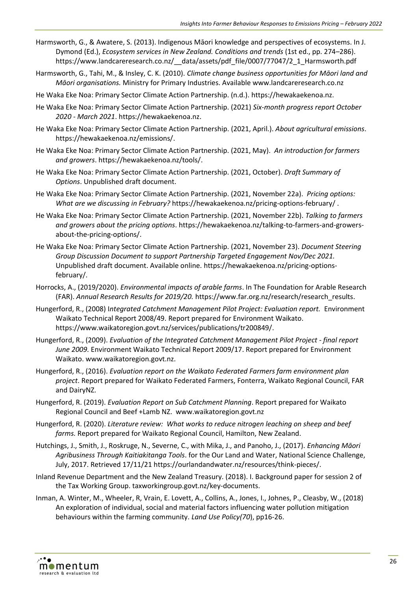- Harmsworth, G., & Awatere, S. (2013). Indigenous Māori knowledge and perspectives of ecosystems. In J. Dymond (Ed.), *Ecosystem services in New Zealand. Conditions and trends* (1st ed., pp. 274–286). [https://www.landcareresearch.co.nz/\\_\\_data/assets/pdf\\_file/0007/77047/2\\_1\\_Harmsworth.pdf](https://www.landcareresearch.co.nz/__data/assets/pdf_file/0007/77047/2_1_Harmsworth.pdf)
- Harmsworth, G., Tahi, M., & Insley, C. K. (2010). *Climate change business opportunities for Māori land and Māori organisations.* Ministry for Primary Industries. Available [www.landcareresearch.co.nz](http://www.landcareresearch.co.nz/)
- He Waka Eke Noa: Primary Sector Climate Action Partnership. (n.d.). [https://hewakaekenoa.nz.](https://hewakaekenoa.nz/)
- He Waka Eke Noa: Primary Sector Climate Action Partnership. (2021) *Six-month progress report October 2020 - March 2021*. [https://hewakaekenoa.nz.](https://hewakaekenoa.nz/)
- He Waka Eke Noa: Primary Sector Climate Action Partnership. (2021, April.). *About agricultural emissions*. [https://hewakaekenoa.nz/emissions/.](https://hewakaekenoa.nz/emissions/)
- He Waka Eke Noa: Primary Sector Climate Action Partnership. (2021, May). *An introduction for farmers and growers*. https://hewakaekenoa.nz/tools/.
- He Waka Eke Noa: Primary Sector Climate Action Partnership. (2021, October). *Draft Summary of Options*. Unpublished draft document.
- He Waka Eke Noa: Primary Sector Climate Action Partnership. (2021, November 22a). *Pricing options: What are we discussing in February?* <https://hewakaekenoa.nz/pricing-options-february/> .
- He Waka Eke Noa: Primary Sector Climate Action Partnership. (2021, November 22b). *Talking to farmers and growers about the pricing options*. https://hewakaekenoa.nz/talking-to-farmers-and-growersabout-the-pricing-options/.
- He Waka Eke Noa: Primary Sector Climate Action Partnership. (2021, November 23). *Document Steering Group Discussion Document to support Partnership Targeted Engagement Nov/Dec 2021.* Unpublished draft document. Available online. [https://hewakaekenoa.nz/pricing-options](https://hewakaekenoa.nz/pricing-options-february/)[february/.](https://hewakaekenoa.nz/pricing-options-february/)
- Horrocks, A., (2019/2020). *Environmental impacts of arable farms*. In The Foundation for Arable Research (FAR). *Annual Research Results for 2019/20.* [https://www.far.org.nz/research/research\\_results.](https://www.far.org.nz/research/research_results)
- Hungerford, R., (2008) I*ntegrated Catchment Management Pilot Project: Evaluation report.* Environment Waikato Technical Report 2008/49. Report prepared for Environment Waikato. https://www.waikatoregion.govt.nz/services/publications/tr200849/.
- Hungerford, R., (2009). *Evaluation of the Integrated Catchment Management Pilot Project - final report June 2009.* Environment Waikato Technical Report 2009/17. Report prepared for Environment Waikato. www.waikatoregion.govt.nz.
- Hungerford, R., (2016). *Evaluation report on the Waikato Federated Farmers farm environment plan project*. Report prepared for Waikato Federated Farmers, Fonterra, Waikato Regional Council, FAR and DairyNZ.
- Hungerford, R. (2019). *Evaluation Report on Sub Catchment Planning*. Report prepared for Waikato Regional Council and Beef +Lamb NZ. www.waikatoregion.govt.nz
- Hungerford, R. (2020). *Literature review: What works to reduce nitrogen leaching on sheep and beef farms.* Report prepared for Waikato Regional Council, Hamilton, New Zealand.
- Hutchings, J., Smith, J., Roskruge, N., Severne, C., with Mika, J., and Panoho, J., (2017). *Enhancing Māori Agribusiness Through Kaitiakitanga Tools*. for the Our Land and Water, National Science Challenge, July, 2017. Retrieved 17/11/21 https://ourlandandwater.nz/resources/think-pieces/.
- Inland Revenue Department and the New Zealand Treasury. (2018). I. Background paper for session 2 of the Tax Working Group. taxworkingroup.govt.nz/key-documents.
- Inman, A. Winter, M., Wheeler, R, Vrain, E. Lovett, A., Collins, A., Jones, I., Johnes, P., Cleasby, W., (2018) An exploration of individual, social and material factors influencing water pollution mitigation behaviours within the farming community. *Land Use Policy(70*), pp16-26.

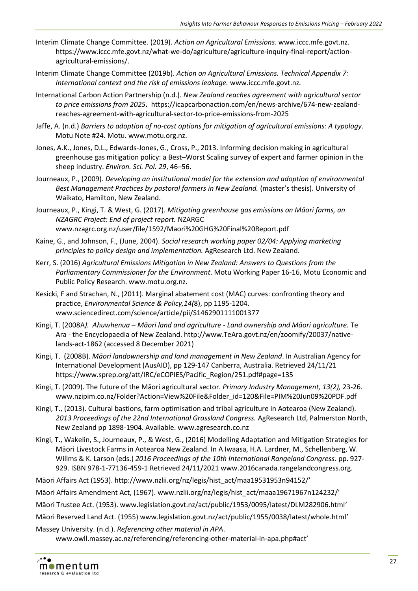- Interim Climate Change Committee. (2019). *Action on Agricultural Emissions*[. www.iccc.mfe.govt.nz.](http://www.iccc.mfe.govt.nz/) [https://www.iccc.mfe.govt.nz/what-we-do/agriculture/agriculture-inquiry-final-report/action](https://www.iccc.mfe.govt.nz/what-we-do/agriculture/agriculture-inquiry-final-report/action-agricultural-emissions/)[agricultural-emissions/.](https://www.iccc.mfe.govt.nz/what-we-do/agriculture/agriculture-inquiry-final-report/action-agricultural-emissions/)
- Interim Climate Change Committee (2019b). *Action on Agricultural Emissions. Technical Appendix 7: International context and the risk of emissions leakage.* www.iccc.mfe.govt.nz*.*
- International Carbon Action Partnership (n.d.). *New Zealand reaches agreement with agricultural sector to price emissions from 2025***.** [https://icapcarbonaction.com/en/news-archive/674-new-zealand](https://icapcarbonaction.com/en/news-archive/674-new-zealand-reaches-agreement-with-agricultural-sector-to-price-emissions-from-2025)[reaches-agreement-with-agricultural-sector-to-price-emissions-from-2025](https://icapcarbonaction.com/en/news-archive/674-new-zealand-reaches-agreement-with-agricultural-sector-to-price-emissions-from-2025)
- Jaffe, A. (n.d.) *Barriers to adoption of no-cost options for mitigation of agricultural emissions: A typology*. Motu Note #24. Motu. [www.motu.org.nz.](http://www.motu.org.nz/)
- Jones, A.K., Jones, D.L., Edwards-Jones, G., Cross, P., 2013. Informing decision making in agricultural greenhouse gas mitigation policy: a Best–Worst Scaling survey of expert and farmer opinion in the sheep industry. *Environ. Sci. Pol. 29*, 46–56.
- Journeaux, P., (2009). *Developing an institutional model for the extension and adoption of environmental Best Management Practices by pastoral farmers in New Zealand.* (master's thesis). University of Waikato, Hamilton, New Zealand.
- Journeaux, P., Kingi, T. & West, G. (2017). *Mitigating greenhouse gas emissions on Māori farms, an NZAGRC Project: End of project report.* NZARGC www.nzagrc.org.nz/user/file/1592/Maori%20GHG%20Final%20Report.pdf
- Kaine, G., and Johnson, F., (June, 2004). *Social research working paper 02/04: Applying marketing principles to policy design and implementation.* AgResearch Ltd. New Zealand.
- Kerr, S. (2016) *Agricultural Emissions Mitigation in New Zealand: Answers to Questions from the Parliamentary Commissioner for the Environment*. Motu Working Paper 16-16, Motu Economic and Public Policy Research. www.motu.org.nz.
- Kesicki, F and Strachan, N., (2011). Marginal abatement cost (MAC) curves: confronting theory and practice, *Environmental Science & Policy,14(*8), pp 1195-1204. www.sciencedirect.com/science/article/pii/S1462901111001377
- Kingi, T. (2008A*). Ahuwhenua – Māori land and agriculture - Land ownership and Māori agriculture.* Te Ara - the Encyclopaedia of New Zealand. http://www.TeAra.govt.nz/en/zoomify/20037/nativelands-act-1862 (accessed 8 December 2021)
- Kingi, T. (2008B). *Māori landownership and land management in New Zealand*. In Australian Agency for International Development (AusAID), pp 129-147 Canberra, Australia. Retrieved 24/11/21 [https://www.sprep.org/att/IRC/eCOPIES/Pacific\\_Region/251.pdf#page=135](https://www.sprep.org/att/IRC/eCOPIES/Pacific_Region/251.pdf#page=135)
- Kingi, T. (2009). The future of the Māori agricultural sector. *Primary Industry Management, 13(2),* 23-26. www.nzipim.co.nz/Folder?Action=View%20File&Folder\_id=120&File=PIM%20Jun09%20PDF.pdf
- Kingi, T., (2013). Cultural bastions, farm optimisation and tribal agriculture in Aotearoa (New Zealand). 2013 Proceedings of the 22nd International Grassland Congress. AgResearch Ltd, Palmerston North, New Zealand pp 1898-1904. Available. [www.agresearch.co.nz](http://www.agresearch.co.nz/)
- Kingi, T., Wakelin, S., Journeaux, P., & West, G., (2016) Modelling Adaptation and Mitigation Strategies for Māori Livestock Farms in Aotearoa New Zealand. In A Iwaasa, H.A. Lardner, M., Schellenberg, W. Willms & K. Larson (eds.) *2016 Proceedings of the 10th International Rangeland Congress.* pp. 927- 929. ISBN 978-1-77136-459-1 Retrieved 24/11/2021 [www.2016canada.rangelandcongress.org.](http://www.2016canada.rangelandcongress.org/)
- Māori Affairs Act (1953). http://www.nzlii.org/nz/legis/hist\_act/maa19531953n94152/'
- Māori Affairs Amendment Act, (1967). www.nzlii.org/nz/legis/hist\_act/maaa19671967n124232/'
- Māori Trustee Act. (1953). www.legislation.govt.nz/act/public/1953/0095/latest/DLM282906.html'
- Māori Reserved Land Act. (1955) www.legislation.govt.nz/act/public/1955/0038/latest/whole.html'
- Massey University. (n.d.). *Referencing other material in APA*. www.owll.massey.ac.nz/referencing/referencing-other-material-in-apa.php#act'

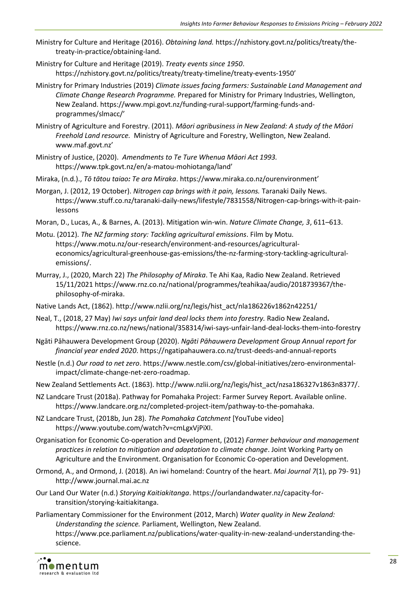- Ministry for Culture and Heritage (2016). *Obtaining land.* https://nzhistory.govt.nz/politics/treaty/thetreaty-in-practice/obtaining-land.
- Ministry for Culture and Heritage (2019). *Treaty events since 1950*. <https://nzhistory.govt.nz/politics/treaty/treaty-timeline/treaty-events-1950>'
- Ministry for Primary Industries (2019) *Climate issues facing farmers: Sustainable Land Management and Climate Change Research Programme.* Prepared for Ministry for Primary Industries, Wellington, New Zealand. [https://www.mpi.govt.nz/funding-rural-support/farming-funds-and](https://www.mpi.govt.nz/funding-rural-support/farming-funds-and-programmes/slmacc/)[programmes/slmacc/](https://www.mpi.govt.nz/funding-rural-support/farming-funds-and-programmes/slmacc/)'
- Ministry of Agriculture and Forestry. (2011). *Māori agribusiness in New Zealand: A study of the Māori Freehold Land resource.* Ministry of Agriculture and Forestry, Wellington, New Zealand. [www.maf.govt.nz](http://www.maf.govt.nz/)'
- Ministry of Justice, (2020). *Amendments to Te Ture Whenua Māori Act 1993.*  <https://www.tpk.govt.nz/en/a-matou-mohiotanga/land>'
- Miraka, (n.d.)., *Tō tātou taiao: Te ara Miraka*.<https://www.miraka.co.nz/ourenvironment>'
- Morgan, J. (2012, 19 October). *Nitrogen cap brings with it pain, lessons.* Taranaki Daily News. https://www.stuff.co.nz/taranaki-daily-news/lifestyle/7831558/Nitrogen-cap-brings-with-it-painlessons
- Moran, D., Lucas, A., & Barnes, A. (2013). Mitigation win-win. *Nature Climate Change, 3*, 611–613.
- Motu. (2012). *The NZ farming story: Tackling agricultural emissions*. Film by Motu. [https://www.motu.nz/our-research/environment-and-resources/agricultural](https://www.motu.nz/our-research/environment-and-resources/agricultural-economics/agricultural-greenhouse-gas-emissions/the-nz-farming-story-tackling-agricultural-emissions/)[economics/agricultural-greenhouse-gas-emissions/the-nz-farming-story-tackling-agricultural](https://www.motu.nz/our-research/environment-and-resources/agricultural-economics/agricultural-greenhouse-gas-emissions/the-nz-farming-story-tackling-agricultural-emissions/)[emissions/.](https://www.motu.nz/our-research/environment-and-resources/agricultural-economics/agricultural-greenhouse-gas-emissions/the-nz-farming-story-tackling-agricultural-emissions/)
- Murray, J., (2020, March 22) *The Philosophy of Miraka*. Te Ahi Kaa, Radio New Zealand. Retrieved 15/11/2021 https://www.rnz.co.nz/national/programmes/teahikaa/audio/2018739367/thephilosophy-of-miraka.
- Native Lands Act, (1862). http://www.nzlii.org/nz/legis/hist\_act/nla186226v1862n42251/
- Neal, T., (2018, 27 May) *Iwi says unfair land deal locks them into forestry.* Radio New Zealand**.**  https://www.rnz.co.nz/news/national/358314/iwi-says-unfair-land-deal-locks-them-into-forestry
- Ngāti Pāhauwera Development Group (2020). *Ngāti Pāhauwera Development Group Annual report for financial year ended 2020*. https://ngatipahauwera.co.nz/trust-deeds-and-annual-reports
- Nestle (n.d.) *Our road to net zero*. [https://www.nestle.com/csv/global-initiatives/zero-environmental](https://www.nestle.com/csv/global-initiatives/zero-environmental-impact/climate-change-net-zero-roadmap)[impact/climate-change-net-zero-roadmap.](https://www.nestle.com/csv/global-initiatives/zero-environmental-impact/climate-change-net-zero-roadmap)
- New Zealand Settlements Act. (1863). http://www.nzlii.org/nz/legis/hist\_act/nzsa186327v1863n8377/.
- NZ Landcare Trust (2018a). Pathway for Pomahaka Project: Farmer Survey Report. Available online. [https://www.landcare.org.nz/completed-project-item/pathway-to-the-pomahaka.](https://www.landcare.org.nz/completed-project-item/pathway-to-the-pomahaka)
- NZ Landcare Trust, (2018b, Jun 28). *The Pomahaka Catchment* [YouTube video] [https://www.youtube.com/watch?v=cmLgxVjPiXI.](https://www.youtube.com/watch?v=cmLgxVjPiXI)
- Organisation for Economic Co-operation and Development, (2012) *Farmer behaviour and management practices in relation to mitigation and adaptation to climate change*. Joint Working Party on Agriculture and the Environment. Organisation for Economic Co-operation and Development.
- Ormond, A., and Ormond, J. (2018)*.* An iwi homeland: Country of the heart. *Mai Journal 7*(1), pp 79- 91) http://www.journal.mai.ac.nz
- Our Land Our Water (n.d.) *Storying Kaitiakitanga*. https://ourlandandwater.nz/capacity-fortransition/storying-kaitiakitanga.
- Parliamentary Commissioner for the Environment (2012, March) *Water quality in New Zealand: Understanding the science.* Parliament, Wellington, New Zealand. [https://www.pce.parliament.nz/publications/water-quality-in-new-zealand-understanding-the](https://www.pce.parliament.nz/publications/water-quality-in-new-zealand-understanding-the-science)[science.](https://www.pce.parliament.nz/publications/water-quality-in-new-zealand-understanding-the-science)

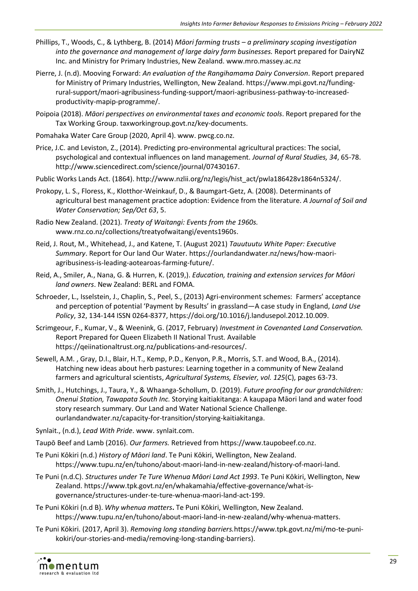- Phillips, T., Woods, C., & Lythberg, B. (2014) *Māori farming trusts – a preliminary scoping investigation into the governance and management of large dairy farm businesses.* Report prepared for DairyNZ Inc. and Ministry for Primary Industries, New Zealand[. www.mro.massey.ac.nz](http://www.mro.massey.ac.nz/)
- Pierre, J. (n.d). Mooving Forward: *An evaluation of the Rangihamama Dairy Conversion*. Report prepared for Ministry of Primary Industries, Wellington, New Zealand[. https://www.mpi.govt.nz/funding](https://www.mpi.govt.nz/funding-rural-support/maori-agribusiness-funding-support/maori-agribusiness-pathway-to-increased-productivity-mapip-programme/)[rural-support/maori-agribusiness-funding-support/maori-agribusiness-pathway-to-increased](https://www.mpi.govt.nz/funding-rural-support/maori-agribusiness-funding-support/maori-agribusiness-pathway-to-increased-productivity-mapip-programme/)[productivity-mapip-programme/.](https://www.mpi.govt.nz/funding-rural-support/maori-agribusiness-funding-support/maori-agribusiness-pathway-to-increased-productivity-mapip-programme/)
- Poipoia (2018). *Māori perspectives on environmental taxes and economic tools*. Report prepared for the Tax Working Group. taxworkingroup.govt.nz/key-documents.
- Pomahaka Water Care Group (2020, April 4). www. pwcg.co.nz.
- Price, J.C. and Leviston, Z., (2014). Predicting pro-environmental agricultural practices: The social, psychological and contextual influences on land management. *Journal of Rural Studies, 34*, 65-78. http://www.sciencedirect.com/science/journal/07430167.
- Public Works Lands Act. (1864). http://www.nzlii.org/nz/legis/hist\_act/pwla186428v1864n5324/.
- Prokopy, L. S., Floress, K., Klotthor-Weinkauf, D., & Baumgart-Getz, A. (2008). Determinants of agricultural best management practice adoption: Evidence from the literature. *A Journal of Soil and Water Conservation; Sep/Oct 63*, 5.
- Radio New Zealand. (2021). *Treaty of Waitangi: Events from the 1960s.* www.rnz.co.nz/collections/treatyofwaitangi/events1960s.
- Reid, J. Rout, M., Whitehead, J., and Katene, T. (August 2021) *Tauutuutu White Paper: Executive Summary*. Report for Our land Our Water. [https://ourlandandwater.nz/news/how-maori](https://ourlandandwater.nz/news/how-maori-agribusiness-is-leading-aotearoas-farming-future/)[agribusiness-is-leading-aotearoas-farming-future/.](https://ourlandandwater.nz/news/how-maori-agribusiness-is-leading-aotearoas-farming-future/)
- Reid, A., Smiler, A., Nana, G. & Hurren, K. (2019,). *Education, training and extension services for Māori land owners*. New Zealand: BERL and FOMA.
- Schroeder, L., Isselstein, J., Chaplin, S., Peel, S., (2013) Agri-environment schemes: Farmers' acceptance and perception of potential 'Payment by Results' in grassland—A case study in England, *Land Use Policy*, 32, 134-144 ISSN 0264-8377, [https://doi.org/10.1016/j.landusepol.2012.10.009.](https://doi.org/10.1016/j.landusepol.2012.10.009)
- Scrimgeour, F., Kumar, V., & Weenink, G. (2017, February) *Investment in Covenanted Land Conservation.*  Report Prepared for Queen Elizabeth II National Trust*.* Available https://qeiinationaltrust.org.nz/publications-and-resources/.
- Sewell, A.M. , Gray, D.I., Blair, H.T., Kemp, P.D., Kenyon, P.R., Morris, S.T. and Wood, B.A., (2014). Hatching new ideas about herb pastures: Learning together in a community of New Zealand farmers and agricultural scientists, *Agricultural Systems, Elsevier, vol. 125*(C), pages 63-73.
- Smith, J., Hutchings, J., Taura, Y., & Whaanga-Schollum, D. (2019). *Future proofing for our grandchildren: Onenui Station, Tawapata South Inc.* Storying kaitiakitanga: A kaupapa Māori land and water food story research summary. Our Land and Water National Science Challenge. ourlandandwater.nz/capacity-for-transition/storying-kaitiakitanga.
- Synlait., (n.d.), *Lead With Pride*. www. synlait.com.
- Taupō Beef and Lamb (2016). *Our farmers.* Retrieved from [https://www.taupobeef.co.nz.](https://www.taupobeef.co.nz/)
- Te Puni Kōkiri (n.d.) *History of Māori land*. Te Puni Kōkiri, Wellington, New Zealand. [https://www.tupu.nz/en/tuhono/about-maori-land-in-new-zealand/history-of-maori-land.](https://www.tupu.nz/en/tuhono/about-maori-land-in-new-zealand/history-of-maori-land)
- Te Puni (n.d.C). *Structures under Te Ture Whenua Māori Land Act 1993*. Te Puni Kōkiri, Wellington, New Zealand. https://www.tpk.govt.nz/en/whakamahia/effective-governance/what-isgovernance/structures-under-te-ture-whenua-maori-land-act-199.
- Te Puni Kōkiri (n.d B). *Why whenua matters***.** Te Puni Kōkiri, Wellington, New Zealand. https://www.tupu.nz/en/tuhono/about-maori-land-in-new-zealand/why-whenua-matters.
- Te Puni Kōkiri. (2017, April 3). *Removing long standing barriers.*https://www.tpk.govt.nz/mi/mo-te-punikokiri/our-stories-and-media/removing-long-standing-barriers).

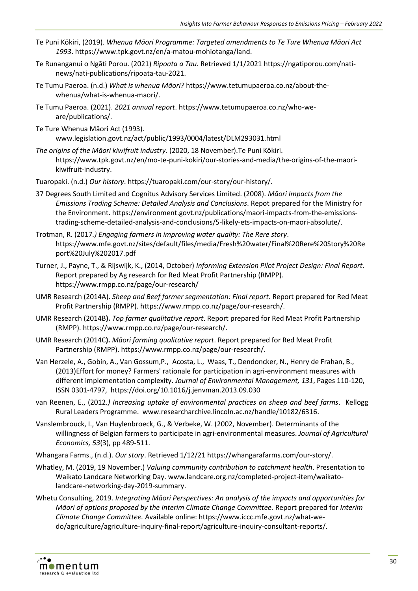- Te Puni Kōkiri, (2019). *Whenua Māori Programme: Targeted amendments to Te Ture Whenua Māori Act 1993*. [https://www.tpk.govt.nz/en/a-matou-mohiotanga/land.](https://www.tpk.govt.nz/en/a-matou-mohiotanga/land)
- Te Runanganui o Ngāti Porou. (2021) *Ripoata a Tau.* Retrieved 1/1/202[1 https://ngatiporou.com/nati](https://ngatiporou.com/nati-news/nati-publications/ripoata-tau-2021)[news/nati-publications/ripoata-tau-2021.](https://ngatiporou.com/nati-news/nati-publications/ripoata-tau-2021)
- Te Tumu Paeroa. (n.d.) *What is whenua Māori?* [https://www.tetumupaeroa.co.nz/about-the](https://www.tetumupaeroa.co.nz/about-the-whenua/what-is-whenua-maori/)[whenua/what-is-whenua-maori/.](https://www.tetumupaeroa.co.nz/about-the-whenua/what-is-whenua-maori/)
- Te Tumu Paeroa. (2021). *2021 annual report*. https://www.tetumupaeroa.co.nz/who-weare/publications/.
- Te Ture Whenua Māori Act (1993). www.legislation.govt.nz/act/public/1993/0004/latest/DLM293031.html
- *The origins of the Māori kiwifruit industry.* (2020, 18 November).Te Puni Kōkiri. [https://www.tpk.govt.nz/en/mo-te-puni-kokiri/our-stories-and-media/the-origins-of-the-maori](https://www.tpk.govt.nz/en/mo-te-puni-kokiri/our-stories-and-media/the-origins-of-the-maori-kiwifruit-industry)[kiwifruit-industry.](https://www.tpk.govt.nz/en/mo-te-puni-kokiri/our-stories-and-media/the-origins-of-the-maori-kiwifruit-industry)
- Tuaropaki. (n.d.) *Our history*. https://tuaropaki.com/our-story/our-history/.
- 37 Degrees South Limited and Cognitus Advisory Services Limited. (2008). *Māori Impacts from the Emissions Trading Scheme: Detailed Analysis and Conclusions*. Repot prepared for the Ministry for the Environment. https://environment.govt.nz/publications/maori-impacts-from-the-emissionstrading-scheme-detailed-analysis-and-conclusions/5-likely-ets-impacts-on-maori-absolute/.
- Trotman, R. (2017*.) Engaging farmers in improving water quality: The Rere story*. [https://www.mfe.govt.nz/sites/default/files/media/Fresh%20water/Final%20Rere%20Story%20Re](https://www.mfe.govt.nz/sites/default/files/media/Fresh%20water/Final%20Rere%20Story%20Report%20July%202017.pdf) [port%20July%202017.pdf](https://www.mfe.govt.nz/sites/default/files/media/Fresh%20water/Final%20Rere%20Story%20Report%20July%202017.pdf)
- Turner, J., Payne, T., & Rijswijk, K., (2014, October) *Informing Extension Pilot Project Design: Final Report*. Report prepared by Ag research for Red Meat Profit Partnership (RMPP). <https://www.rmpp.co.nz/page/our-research/>
- UMR Research (2014A). *Sheep and Beef farmer segmentation: Final report*. Report prepared for Red Meat Profit Partnership (RMPP). [https://www.rmpp.co.nz/page/our-research/.](https://www.rmpp.co.nz/page/our-research/)
- UMR Research (2014B**).** *Top farmer qualitative report*. Report prepared for Red Meat Profit Partnership (RMPP). [https://www.rmpp.co.nz/page/our-research/.](https://www.rmpp.co.nz/page/our-research/)
- UMR Research (2014C**).** *Māori farming qualitative report*. Report prepared for Red Meat Profit Partnership (RMPP)[. https://www.rmpp.co.nz/page/our-research/.](https://www.rmpp.co.nz/page/our-research/)
- Van Herzele, A., Gobin, A., Van Gossum,P., Acosta, L., Waas, T., Dendoncker, N., Henry de Frahan, B., (2013)Effort for money? Farmers' rationale for participation in agri-environment measures with different implementation complexity. *Journal of Environmental Management, 131*, Pages 110-120, ISSN 0301-4797,<https://doi.org/10.1016/j.jenvman.2013.09.030>
- van Reenen, E., (2012*.) Increasing uptake of environmental practices on sheep and beef farms*. Kellogg Rural Leaders Programme. [www.researcharchive.lincoln.ac.nz/handle/10182/6316.](http://www.researcharchive.lincoln.ac.nz/handle/10182/6316)
- Vanslembrouck, I., Van Huylenbroeck, G., & Verbeke, W. (2002, November). Determinants of the willingness of Belgian farmers to participate in agri-environmental measures. *Journal of Agricultural Economics, 53*(3), pp 489-511.
- Whangara Farms., (n.d.). *Our story*. Retrieved 1/12/21 https://whangarafarms.com/our-story/.
- Whatley, M. (2019, 19 November.) *Valuing community contribution to catchment health*. Presentation to Waikato Landcare Networking Day. [www.landcare.org.nz/completed-project-item/waikato](http://www.landcare.org.nz/completed-project-item/waikato-landcare-networking-day-2019-summary)[landcare-networking-day-2019-summary.](http://www.landcare.org.nz/completed-project-item/waikato-landcare-networking-day-2019-summary)
- Whetu Consulting, 2019. *Integrating Māori Perspectives: An analysis of the impacts and opportunities for Māori of options proposed by the Interim Climate Change Committee.* Report prepared for *Interim Climate Change Committee.* Available online: https://www.iccc.mfe.govt.nz/what-wedo/agriculture/agriculture-inquiry-final-report/agriculture-inquiry-consultant-reports/.

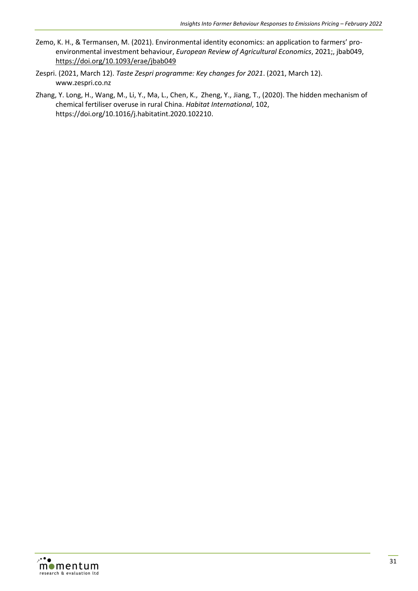- Zemo, K. H., & Termansen, M. (2021). Environmental identity economics: an application to farmers' proenvironmental investment behaviour, *European Review of Agricultural Economics*, 2021;, jbab049, https://doi.org/10.1093/erae/jbab049
- Zespri. (2021, March 12). *Taste Zespri programme: Key changes for 2021*. (2021, March 12). [www.zespri.co.nz](http://www.zespri.co.nz/)
- Zhang, Y. Long, H., Wang, M., Li, Y., Ma, L., Chen, K., Zheng, Y., Jiang, T., (2020). The hidden mechanism of chemical fertiliser overuse in rural China. *Habitat International*, 102, [https://doi.org/10.1016/j.habitatint.2020.102210.](https://doi.org/10.1016/j.habitatint.2020.102210)

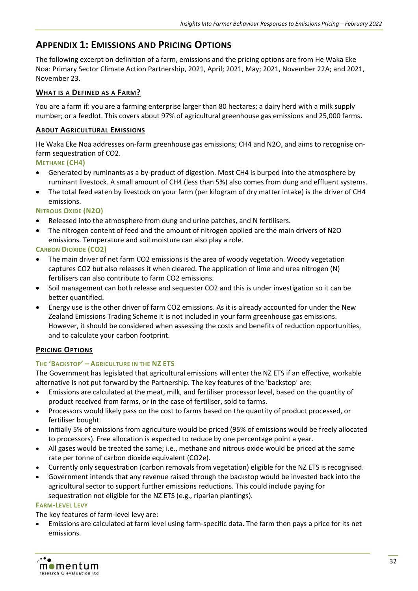# <span id="page-36-0"></span>**APPENDIX 1: EMISSIONS AND PRICING OPTIONS**

The following excerpt on definition of a farm, emissions and the pricing options are from He Waka Eke Noa: Primary Sector Climate Action Partnership, 2021, April; 2021, May; 2021, November 22A; and 2021, November 23.

## **WHAT IS A DEFINED AS A FARM?**

You are a farm if: you are a farming enterprise larger than 80 hectares; a dairy herd with a milk supply number; or a feedlot. This covers about 97% of agricultural greenhouse gas emissions and 25,000 farms**.**

#### **ABOUT AGRICULTURAL EMISSIONS**

He Waka Eke Noa addresses on-farm greenhouse gas emissions; CH4 and N2O, and aims to recognise onfarm sequestration of CO2.

#### **METHANE (CH4)**

- Generated by ruminants as a by-product of digestion. Most CH4 is burped into the atmosphere by ruminant livestock. A small amount of CH4 (less than 5%) also comes from dung and effluent systems.
- The total feed eaten by livestock on your farm (per kilogram of dry matter intake) is the driver of CH4 emissions.

#### **NITROUS OXIDE (N2O)**

- Released into the atmosphere from dung and urine patches, and N fertilisers.
- The nitrogen content of feed and the amount of nitrogen applied are the main drivers of N2O emissions. Temperature and soil moisture can also play a role.

#### **CARBON DIOXIDE (CO2)**

- The main driver of net farm CO2 emissions is the area of woody vegetation. Woody vegetation captures CO2 but also releases it when cleared. The application of lime and urea nitrogen (N) fertilisers can also contribute to farm CO2 emissions.
- Soil management can both release and sequester CO2 and this is under investigation so it can be better quantified.
- Energy use is the other driver of farm CO2 emissions. As it is already accounted for under the New Zealand Emissions Trading Scheme it is not included in your farm greenhouse gas emissions. However, it should be considered when assessing the costs and benefits of reduction opportunities, and to calculate your carbon footprint.

## **PRICING OPTIONS**

## **THE 'BACKSTOP' – AGRICULTURE IN THE NZ ETS**

The Government has legislated that agricultural emissions will enter the NZ ETS if an effective, workable alternative is not put forward by the Partnership. The key features of the 'backstop' are:

- Emissions are calculated at the meat, milk, and fertiliser processor level, based on the quantity of product received from farms, or in the case of fertiliser, sold to farms.
- Processors would likely pass on the cost to farms based on the quantity of product processed, or fertiliser bought.
- Initially 5% of emissions from agriculture would be priced (95% of emissions would be freely allocated to processors). Free allocation is expected to reduce by one percentage point a year.
- All gases would be treated the same; i.e., methane and nitrous oxide would be priced at the same rate per tonne of carbon dioxide equivalent (CO2e).
- Currently only sequestration (carbon removals from vegetation) eligible for the NZ ETS is recognised.
- Government intends that any revenue raised through the backstop would be invested back into the agricultural sector to support further emissions reductions. This could include paying for sequestration not eligible for the NZ ETS (e.g., riparian plantings).

#### **FARM-LEVEL LEVY**

The key features of farm-level levy are:

• Emissions are calculated at farm level using farm-specific data. The farm then pays a price for its net emissions.

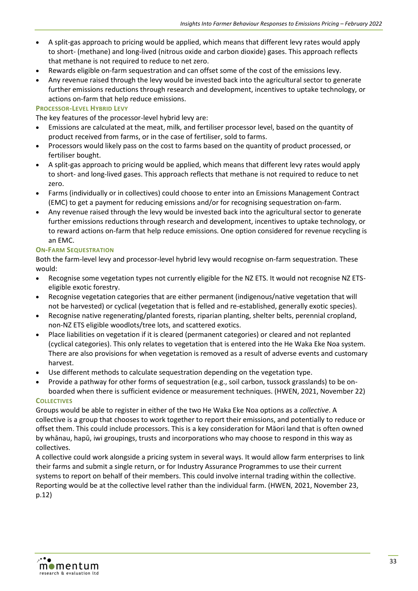- A split-gas approach to pricing would be applied, which means that different levy rates would apply to short- (methane) and long-lived (nitrous oxide and carbon dioxide) gases. This approach reflects that methane is not required to reduce to net zero.
- Rewards eligible on-farm sequestration and can offset some of the cost of the emissions levy.
- Any revenue raised through the levy would be invested back into the agricultural sector to generate further emissions reductions through research and development, incentives to uptake technology, or actions on-farm that help reduce emissions.

#### **PROCESSOR-LEVEL HYBRID LEVY**

The key features of the processor-level hybrid levy are:

- Emissions are calculated at the meat, milk, and fertiliser processor level, based on the quantity of product received from farms, or in the case of fertiliser, sold to farms.
- Processors would likely pass on the cost to farms based on the quantity of product processed, or fertiliser bought.
- A split-gas approach to pricing would be applied, which means that different levy rates would apply to short- and long-lived gases. This approach reflects that methane is not required to reduce to net zero.
- Farms (individually or in collectives) could choose to enter into an Emissions Management Contract (EMC) to get a payment for reducing emissions and/or for recognising sequestration on-farm.
- Any revenue raised through the levy would be invested back into the agricultural sector to generate further emissions reductions through research and development, incentives to uptake technology, or to reward actions on-farm that help reduce emissions. One option considered for revenue recycling is an EMC.

#### **ON-FARM SEQUESTRATION**

Both the farm-level levy and processor-level hybrid levy would recognise on-farm sequestration. These would:

- Recognise some vegetation types not currently eligible for the NZ ETS. It would not recognise NZ ETSeligible exotic forestry.
- Recognise vegetation categories that are either permanent (indigenous/native vegetation that will not be harvested) or cyclical (vegetation that is felled and re-established, generally exotic species).
- Recognise native regenerating/planted forests, riparian planting, shelter belts, perennial cropland, non-NZ ETS eligible woodlots/tree lots, and scattered exotics.
- Place liabilities on vegetation if it is cleared (permanent categories) or cleared and not replanted (cyclical categories). This only relates to vegetation that is entered into the He Waka Eke Noa system. There are also provisions for when vegetation is removed as a result of adverse events and customary harvest.
- Use different methods to calculate sequestration depending on the vegetation type.
- Provide a pathway for other forms of sequestration (e.g., soil carbon, tussock grasslands) to be onboarded when there is sufficient evidence or measurement techniques. (HWEN, 2021, November 22)

#### **COLLECTIVES**

Groups would be able to register in either of the two He Waka Eke Noa options as a *collective*. A collective is a group that chooses to work together to report their emissions, and potentially to reduce or offset them. This could include processors. This is a key consideration for Māori land that is often owned by whānau, hapū, iwi groupings, trusts and incorporations who may choose to respond in this way as collectives.

A collective could work alongside a pricing system in several ways. It would allow farm enterprises to link their farms and submit a single return, or for Industry Assurance Programmes to use their current systems to report on behalf of their members. This could involve internal trading within the collective. Reporting would be at the collective level rather than the individual farm. (HWEN, 2021, November 23, p.12)